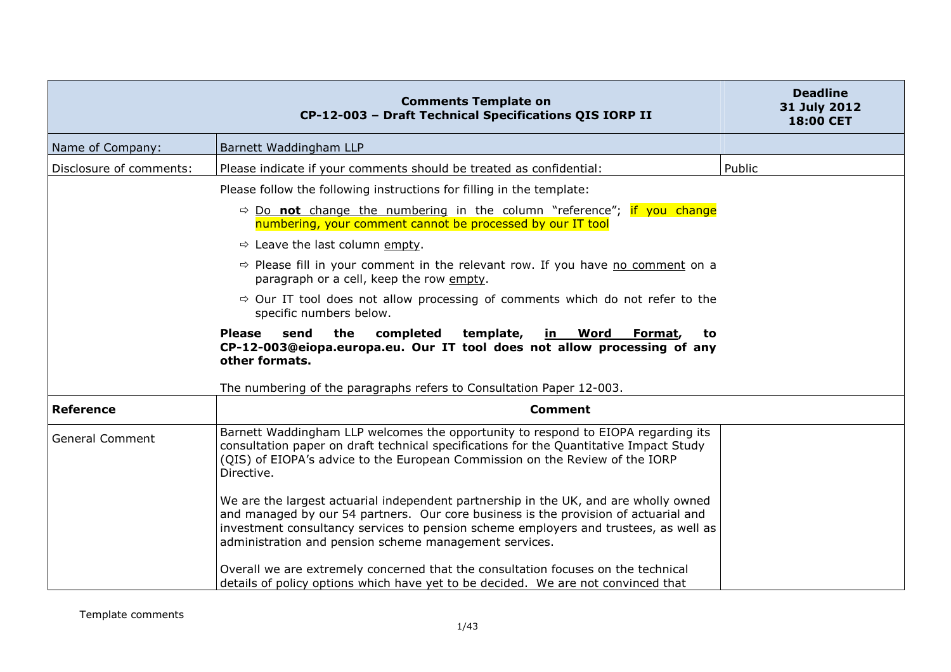|                         | <b>Comments Template on</b><br>CP-12-003 - Draft Technical Specifications QIS IORP II                                                                                                                                                                                                                                         | <b>Deadline</b><br>31 July 2012<br>18:00 CET |
|-------------------------|-------------------------------------------------------------------------------------------------------------------------------------------------------------------------------------------------------------------------------------------------------------------------------------------------------------------------------|----------------------------------------------|
| Name of Company:        | Barnett Waddingham LLP                                                                                                                                                                                                                                                                                                        |                                              |
| Disclosure of comments: | Please indicate if your comments should be treated as confidential:                                                                                                                                                                                                                                                           | Public                                       |
|                         | Please follow the following instructions for filling in the template:                                                                                                                                                                                                                                                         |                                              |
|                         | $\Rightarrow$ Do not change the numbering in the column "reference"; if you change<br>numbering, your comment cannot be processed by our IT tool                                                                                                                                                                              |                                              |
|                         | $\Rightarrow$ Leave the last column empty.                                                                                                                                                                                                                                                                                    |                                              |
|                         | $\Rightarrow$ Please fill in your comment in the relevant row. If you have no comment on a<br>paragraph or a cell, keep the row empty.                                                                                                                                                                                        |                                              |
|                         | $\Rightarrow$ Our IT tool does not allow processing of comments which do not refer to the<br>specific numbers below.                                                                                                                                                                                                          |                                              |
|                         | send<br>the<br>completed<br>template,<br>in Word<br><b>Please</b><br>Format,<br>to<br>CP-12-003@eiopa.europa.eu. Our IT tool does not allow processing of any<br>other formats.                                                                                                                                               |                                              |
|                         | The numbering of the paragraphs refers to Consultation Paper 12-003.                                                                                                                                                                                                                                                          |                                              |
| <b>Reference</b>        | <b>Comment</b>                                                                                                                                                                                                                                                                                                                |                                              |
| <b>General Comment</b>  | Barnett Waddingham LLP welcomes the opportunity to respond to EIOPA regarding its<br>consultation paper on draft technical specifications for the Quantitative Impact Study<br>(QIS) of EIOPA's advice to the European Commission on the Review of the IORP<br>Directive.                                                     |                                              |
|                         | We are the largest actuarial independent partnership in the UK, and are wholly owned<br>and managed by our 54 partners. Our core business is the provision of actuarial and<br>investment consultancy services to pension scheme employers and trustees, as well as<br>administration and pension scheme management services. |                                              |
|                         | Overall we are extremely concerned that the consultation focuses on the technical<br>details of policy options which have yet to be decided. We are not convinced that                                                                                                                                                        |                                              |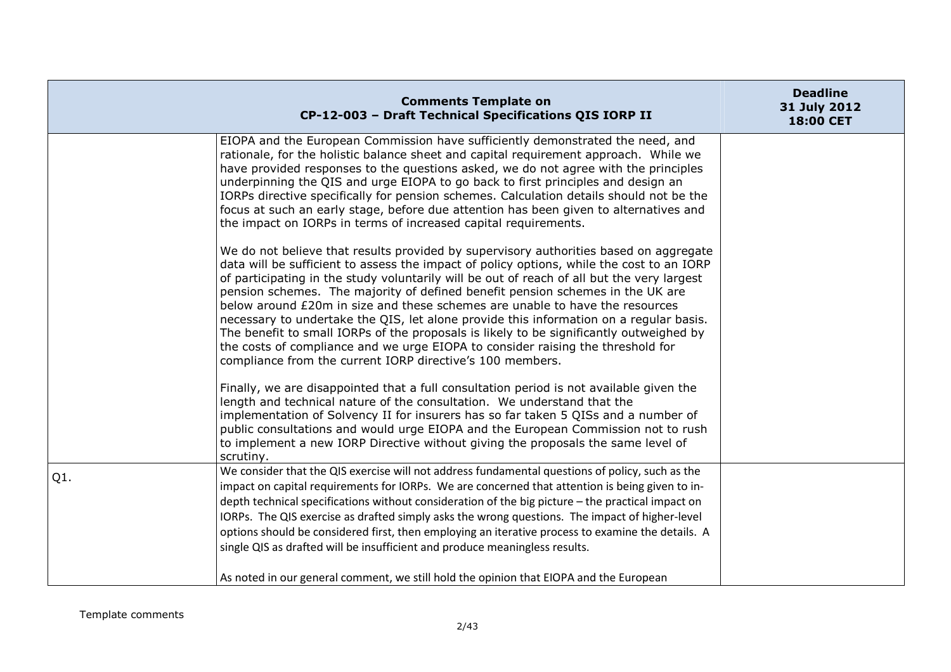|                  | <b>Comments Template on</b><br>CP-12-003 - Draft Technical Specifications QIS IORP II                                                                                                                                                                                                                                                                                                                                                                                                                                                                                                                                                                                                                                                                                                   | <b>Deadline</b><br>31 July 2012<br>18:00 CET |
|------------------|-----------------------------------------------------------------------------------------------------------------------------------------------------------------------------------------------------------------------------------------------------------------------------------------------------------------------------------------------------------------------------------------------------------------------------------------------------------------------------------------------------------------------------------------------------------------------------------------------------------------------------------------------------------------------------------------------------------------------------------------------------------------------------------------|----------------------------------------------|
|                  | EIOPA and the European Commission have sufficiently demonstrated the need, and<br>rationale, for the holistic balance sheet and capital requirement approach. While we<br>have provided responses to the questions asked, we do not agree with the principles<br>underpinning the QIS and urge EIOPA to go back to first principles and design an<br>IORPs directive specifically for pension schemes. Calculation details should not be the<br>focus at such an early stage, before due attention has been given to alternatives and<br>the impact on IORPs in terms of increased capital requirements.                                                                                                                                                                                |                                              |
|                  | We do not believe that results provided by supervisory authorities based on aggregate<br>data will be sufficient to assess the impact of policy options, while the cost to an IORP<br>of participating in the study voluntarily will be out of reach of all but the very largest<br>pension schemes. The majority of defined benefit pension schemes in the UK are<br>below around £20m in size and these schemes are unable to have the resources<br>necessary to undertake the QIS, let alone provide this information on a regular basis.<br>The benefit to small IORPs of the proposals is likely to be significantly outweighed by<br>the costs of compliance and we urge EIOPA to consider raising the threshold for<br>compliance from the current IORP directive's 100 members. |                                              |
|                  | Finally, we are disappointed that a full consultation period is not available given the<br>length and technical nature of the consultation. We understand that the<br>implementation of Solvency II for insurers has so far taken 5 QISs and a number of<br>public consultations and would urge EIOPA and the European Commission not to rush<br>to implement a new IORP Directive without giving the proposals the same level of<br>scrutiny.                                                                                                                                                                                                                                                                                                                                          |                                              |
| Q <sub>1</sub> . | We consider that the QIS exercise will not address fundamental questions of policy, such as the<br>impact on capital requirements for IORPs. We are concerned that attention is being given to in-<br>depth technical specifications without consideration of the big picture - the practical impact on<br>IORPs. The QIS exercise as drafted simply asks the wrong questions. The impact of higher-level<br>options should be considered first, then employing an iterative process to examine the details. A<br>single QIS as drafted will be insufficient and produce meaningless results.                                                                                                                                                                                           |                                              |
|                  | As noted in our general comment, we still hold the opinion that EIOPA and the European                                                                                                                                                                                                                                                                                                                                                                                                                                                                                                                                                                                                                                                                                                  |                                              |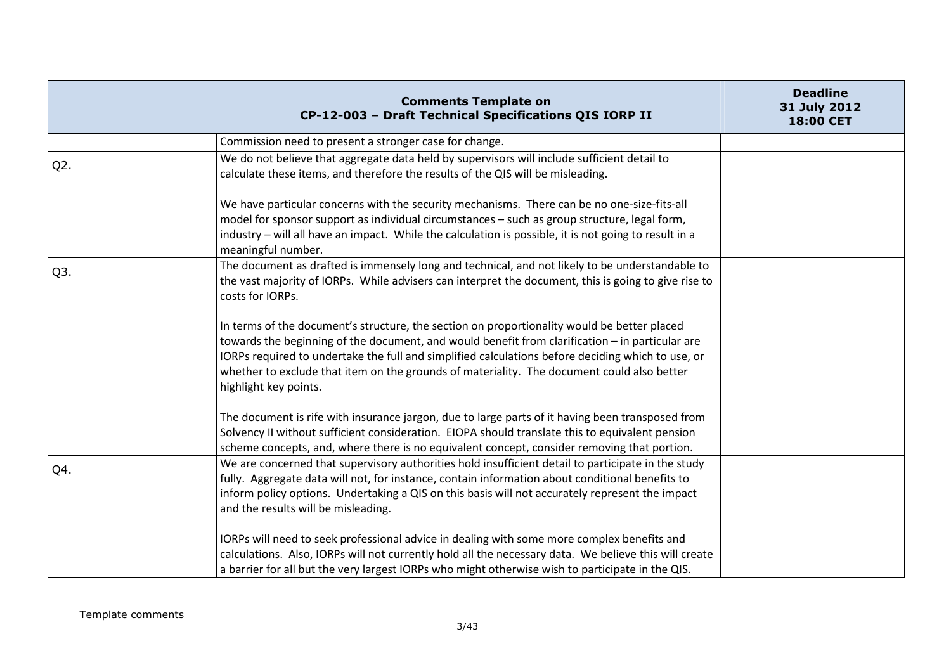|                  | <b>Comments Template on</b><br>CP-12-003 - Draft Technical Specifications QIS IORP II                                                                                                                                                                                                                                                                                                                                      | <b>Deadline</b><br>31 July 2012<br>18:00 CET |
|------------------|----------------------------------------------------------------------------------------------------------------------------------------------------------------------------------------------------------------------------------------------------------------------------------------------------------------------------------------------------------------------------------------------------------------------------|----------------------------------------------|
|                  | Commission need to present a stronger case for change.                                                                                                                                                                                                                                                                                                                                                                     |                                              |
| Q <sub>2</sub> . | We do not believe that aggregate data held by supervisors will include sufficient detail to<br>calculate these items, and therefore the results of the QIS will be misleading.                                                                                                                                                                                                                                             |                                              |
|                  | We have particular concerns with the security mechanisms. There can be no one-size-fits-all<br>model for sponsor support as individual circumstances - such as group structure, legal form,<br>industry - will all have an impact. While the calculation is possible, it is not going to result in a<br>meaningful number.                                                                                                 |                                              |
| Q3.              | The document as drafted is immensely long and technical, and not likely to be understandable to<br>the vast majority of IORPs. While advisers can interpret the document, this is going to give rise to<br>costs for IORPs.                                                                                                                                                                                                |                                              |
|                  | In terms of the document's structure, the section on proportionality would be better placed<br>towards the beginning of the document, and would benefit from clarification - in particular are<br>IORPs required to undertake the full and simplified calculations before deciding which to use, or<br>whether to exclude that item on the grounds of materiality. The document could also better<br>highlight key points. |                                              |
|                  | The document is rife with insurance jargon, due to large parts of it having been transposed from<br>Solvency II without sufficient consideration. EIOPA should translate this to equivalent pension<br>scheme concepts, and, where there is no equivalent concept, consider removing that portion.                                                                                                                         |                                              |
| Q4.              | We are concerned that supervisory authorities hold insufficient detail to participate in the study<br>fully. Aggregate data will not, for instance, contain information about conditional benefits to<br>inform policy options. Undertaking a QIS on this basis will not accurately represent the impact<br>and the results will be misleading.                                                                            |                                              |
|                  | IORPs will need to seek professional advice in dealing with some more complex benefits and<br>calculations. Also, IORPs will not currently hold all the necessary data. We believe this will create<br>a barrier for all but the very largest IORPs who might otherwise wish to participate in the QIS.                                                                                                                    |                                              |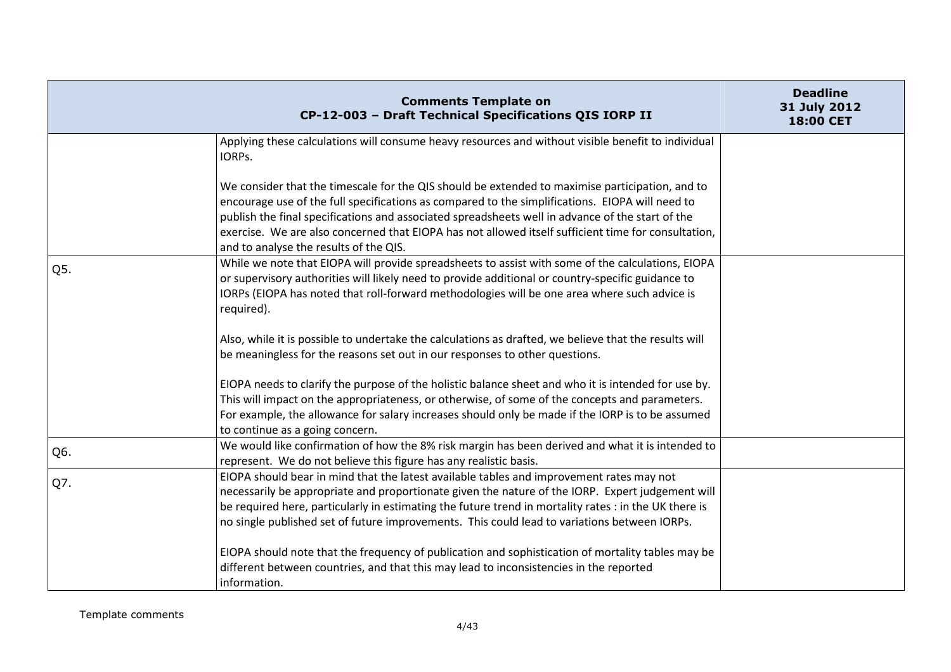|     | <b>Comments Template on</b><br>CP-12-003 - Draft Technical Specifications QIS IORP II                                                                                                                                                                                                                                                                                                                                                                   | <b>Deadline</b><br>31 July 2012<br>18:00 CET |
|-----|---------------------------------------------------------------------------------------------------------------------------------------------------------------------------------------------------------------------------------------------------------------------------------------------------------------------------------------------------------------------------------------------------------------------------------------------------------|----------------------------------------------|
|     | Applying these calculations will consume heavy resources and without visible benefit to individual<br>IORPs.                                                                                                                                                                                                                                                                                                                                            |                                              |
|     | We consider that the timescale for the QIS should be extended to maximise participation, and to<br>encourage use of the full specifications as compared to the simplifications. EIOPA will need to<br>publish the final specifications and associated spreadsheets well in advance of the start of the<br>exercise. We are also concerned that EIOPA has not allowed itself sufficient time for consultation,<br>and to analyse the results of the QIS. |                                              |
| Q5. | While we note that EIOPA will provide spreadsheets to assist with some of the calculations, EIOPA<br>or supervisory authorities will likely need to provide additional or country-specific guidance to<br>IORPs (EIOPA has noted that roll-forward methodologies will be one area where such advice is<br>required).                                                                                                                                    |                                              |
|     | Also, while it is possible to undertake the calculations as drafted, we believe that the results will<br>be meaningless for the reasons set out in our responses to other questions.                                                                                                                                                                                                                                                                    |                                              |
|     | EIOPA needs to clarify the purpose of the holistic balance sheet and who it is intended for use by.<br>This will impact on the appropriateness, or otherwise, of some of the concepts and parameters.<br>For example, the allowance for salary increases should only be made if the IORP is to be assumed<br>to continue as a going concern.                                                                                                            |                                              |
| Q6. | We would like confirmation of how the 8% risk margin has been derived and what it is intended to<br>represent. We do not believe this figure has any realistic basis.                                                                                                                                                                                                                                                                                   |                                              |
| Q7. | EIOPA should bear in mind that the latest available tables and improvement rates may not<br>necessarily be appropriate and proportionate given the nature of the IORP. Expert judgement will<br>be required here, particularly in estimating the future trend in mortality rates : in the UK there is<br>no single published set of future improvements. This could lead to variations between IORPs.                                                   |                                              |
|     | EIOPA should note that the frequency of publication and sophistication of mortality tables may be<br>different between countries, and that this may lead to inconsistencies in the reported<br>information.                                                                                                                                                                                                                                             |                                              |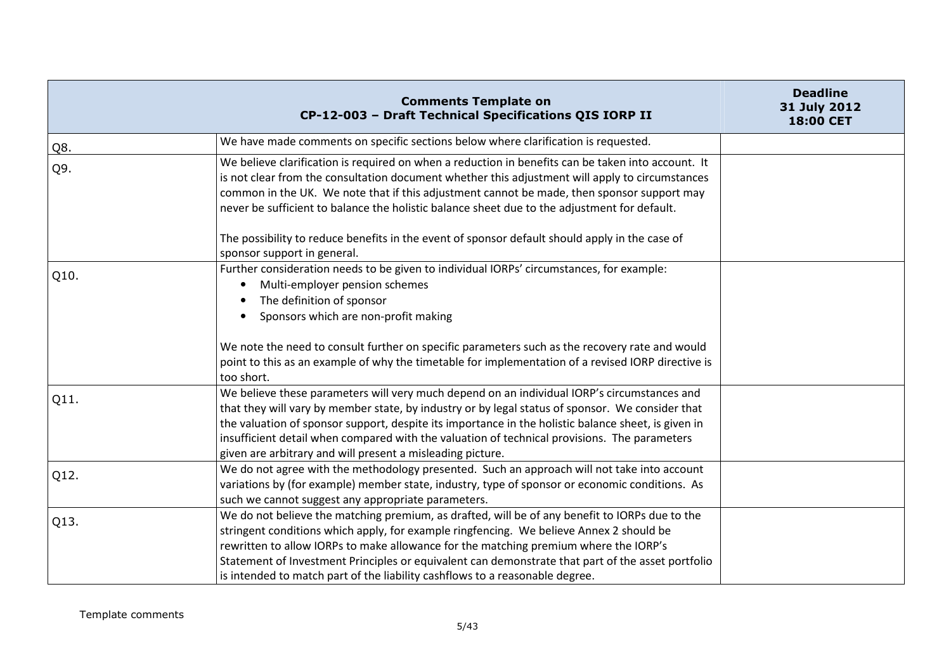|      | <b>Comments Template on</b><br>CP-12-003 - Draft Technical Specifications QIS IORP II                                                                                                                                                                                                                                                                                                                                                                                                                 | <b>Deadline</b><br>31 July 2012<br>18:00 CET |
|------|-------------------------------------------------------------------------------------------------------------------------------------------------------------------------------------------------------------------------------------------------------------------------------------------------------------------------------------------------------------------------------------------------------------------------------------------------------------------------------------------------------|----------------------------------------------|
| Q8.  | We have made comments on specific sections below where clarification is requested.                                                                                                                                                                                                                                                                                                                                                                                                                    |                                              |
| Q9.  | We believe clarification is required on when a reduction in benefits can be taken into account. It<br>is not clear from the consultation document whether this adjustment will apply to circumstances<br>common in the UK. We note that if this adjustment cannot be made, then sponsor support may<br>never be sufficient to balance the holistic balance sheet due to the adjustment for default.<br>The possibility to reduce benefits in the event of sponsor default should apply in the case of |                                              |
| Q10. | sponsor support in general.<br>Further consideration needs to be given to individual IORPs' circumstances, for example:<br>Multi-employer pension schemes<br>٠<br>The definition of sponsor<br>Sponsors which are non-profit making                                                                                                                                                                                                                                                                   |                                              |
|      | We note the need to consult further on specific parameters such as the recovery rate and would<br>point to this as an example of why the timetable for implementation of a revised IORP directive is<br>too short.                                                                                                                                                                                                                                                                                    |                                              |
| Q11. | We believe these parameters will very much depend on an individual IORP's circumstances and<br>that they will vary by member state, by industry or by legal status of sponsor. We consider that<br>the valuation of sponsor support, despite its importance in the holistic balance sheet, is given in<br>insufficient detail when compared with the valuation of technical provisions. The parameters<br>given are arbitrary and will present a misleading picture.                                  |                                              |
| Q12. | We do not agree with the methodology presented. Such an approach will not take into account<br>variations by (for example) member state, industry, type of sponsor or economic conditions. As<br>such we cannot suggest any appropriate parameters.                                                                                                                                                                                                                                                   |                                              |
| Q13. | We do not believe the matching premium, as drafted, will be of any benefit to IORPs due to the<br>stringent conditions which apply, for example ringfencing. We believe Annex 2 should be<br>rewritten to allow IORPs to make allowance for the matching premium where the IORP's<br>Statement of Investment Principles or equivalent can demonstrate that part of the asset portfolio<br>is intended to match part of the liability cashflows to a reasonable degree.                                |                                              |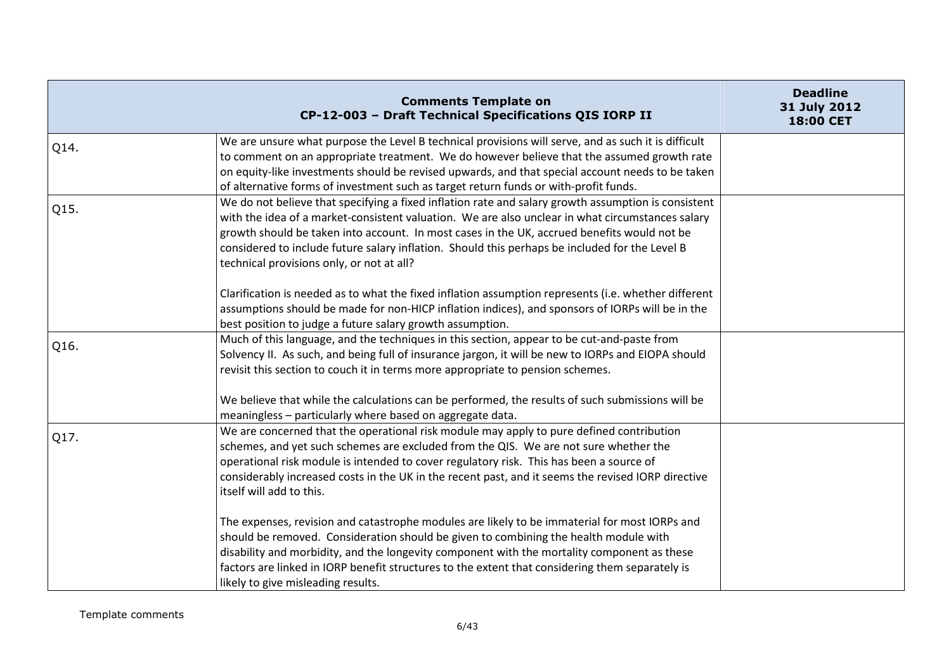|      | <b>Comments Template on</b><br>CP-12-003 - Draft Technical Specifications QIS IORP II                                                                                                                                                                                                                                                                                                                                                                 | <b>Deadline</b><br>31 July 2012<br>18:00 CET |
|------|-------------------------------------------------------------------------------------------------------------------------------------------------------------------------------------------------------------------------------------------------------------------------------------------------------------------------------------------------------------------------------------------------------------------------------------------------------|----------------------------------------------|
| Q14. | We are unsure what purpose the Level B technical provisions will serve, and as such it is difficult<br>to comment on an appropriate treatment. We do however believe that the assumed growth rate<br>on equity-like investments should be revised upwards, and that special account needs to be taken<br>of alternative forms of investment such as target return funds or with-profit funds.                                                         |                                              |
| Q15. | We do not believe that specifying a fixed inflation rate and salary growth assumption is consistent<br>with the idea of a market-consistent valuation. We are also unclear in what circumstances salary<br>growth should be taken into account. In most cases in the UK, accrued benefits would not be<br>considered to include future salary inflation. Should this perhaps be included for the Level B<br>technical provisions only, or not at all? |                                              |
|      | Clarification is needed as to what the fixed inflation assumption represents (i.e. whether different<br>assumptions should be made for non-HICP inflation indices), and sponsors of IORPs will be in the<br>best position to judge a future salary growth assumption.                                                                                                                                                                                 |                                              |
| Q16. | Much of this language, and the techniques in this section, appear to be cut-and-paste from<br>Solvency II. As such, and being full of insurance jargon, it will be new to IORPs and EIOPA should<br>revisit this section to couch it in terms more appropriate to pension schemes.                                                                                                                                                                    |                                              |
|      | We believe that while the calculations can be performed, the results of such submissions will be<br>meaningless - particularly where based on aggregate data.                                                                                                                                                                                                                                                                                         |                                              |
| Q17. | We are concerned that the operational risk module may apply to pure defined contribution<br>schemes, and yet such schemes are excluded from the QIS. We are not sure whether the<br>operational risk module is intended to cover regulatory risk. This has been a source of<br>considerably increased costs in the UK in the recent past, and it seems the revised IORP directive<br>itself will add to this.                                         |                                              |
|      | The expenses, revision and catastrophe modules are likely to be immaterial for most IORPs and<br>should be removed. Consideration should be given to combining the health module with<br>disability and morbidity, and the longevity component with the mortality component as these<br>factors are linked in IORP benefit structures to the extent that considering them separately is<br>likely to give misleading results.                         |                                              |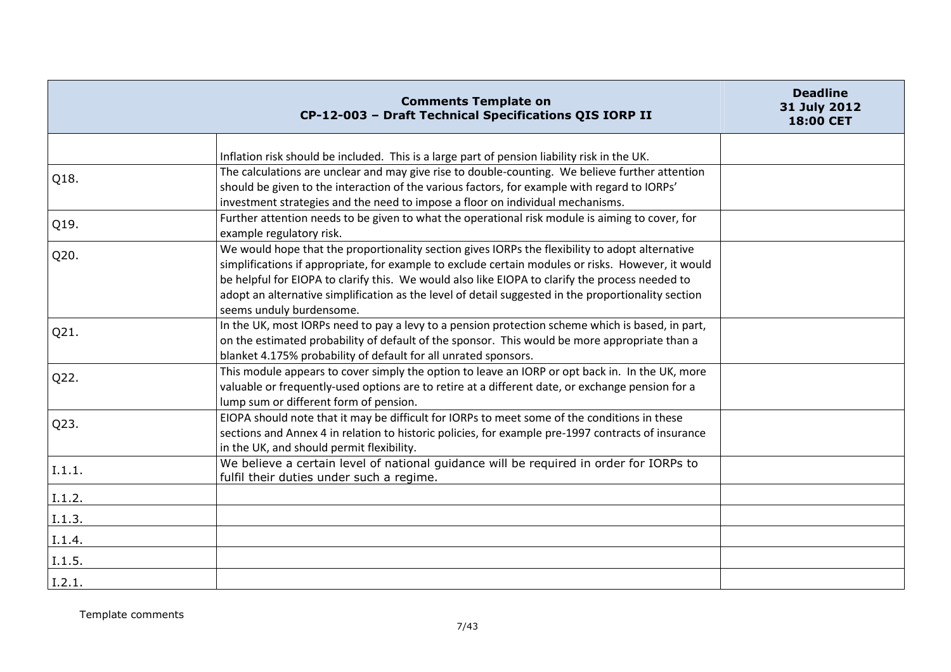|        | <b>Comments Template on</b><br>CP-12-003 - Draft Technical Specifications QIS IORP II                                                                                                                                                                                                                                                                                                                                                       | <b>Deadline</b><br>31 July 2012<br>18:00 CET |
|--------|---------------------------------------------------------------------------------------------------------------------------------------------------------------------------------------------------------------------------------------------------------------------------------------------------------------------------------------------------------------------------------------------------------------------------------------------|----------------------------------------------|
|        | Inflation risk should be included. This is a large part of pension liability risk in the UK.                                                                                                                                                                                                                                                                                                                                                |                                              |
| Q18.   | The calculations are unclear and may give rise to double-counting. We believe further attention<br>should be given to the interaction of the various factors, for example with regard to IORPs'<br>investment strategies and the need to impose a floor on individual mechanisms.                                                                                                                                                           |                                              |
| Q19.   | Further attention needs to be given to what the operational risk module is aiming to cover, for<br>example regulatory risk.                                                                                                                                                                                                                                                                                                                 |                                              |
| Q20.   | We would hope that the proportionality section gives IORPs the flexibility to adopt alternative<br>simplifications if appropriate, for example to exclude certain modules or risks. However, it would<br>be helpful for EIOPA to clarify this. We would also like EIOPA to clarify the process needed to<br>adopt an alternative simplification as the level of detail suggested in the proportionality section<br>seems unduly burdensome. |                                              |
| Q21.   | In the UK, most IORPs need to pay a levy to a pension protection scheme which is based, in part,<br>on the estimated probability of default of the sponsor. This would be more appropriate than a<br>blanket 4.175% probability of default for all unrated sponsors.                                                                                                                                                                        |                                              |
| Q22.   | This module appears to cover simply the option to leave an IORP or opt back in. In the UK, more<br>valuable or frequently-used options are to retire at a different date, or exchange pension for a<br>lump sum or different form of pension.                                                                                                                                                                                               |                                              |
| Q23.   | EIOPA should note that it may be difficult for IORPs to meet some of the conditions in these<br>sections and Annex 4 in relation to historic policies, for example pre-1997 contracts of insurance<br>in the UK, and should permit flexibility.                                                                                                                                                                                             |                                              |
| I.1.1. | We believe a certain level of national guidance will be required in order for IORPs to<br>fulfil their duties under such a regime.                                                                                                                                                                                                                                                                                                          |                                              |
| I.1.2. |                                                                                                                                                                                                                                                                                                                                                                                                                                             |                                              |
| I.1.3. |                                                                                                                                                                                                                                                                                                                                                                                                                                             |                                              |
| I.1.4. |                                                                                                                                                                                                                                                                                                                                                                                                                                             |                                              |
| I.1.5. |                                                                                                                                                                                                                                                                                                                                                                                                                                             |                                              |
| I.2.1. |                                                                                                                                                                                                                                                                                                                                                                                                                                             |                                              |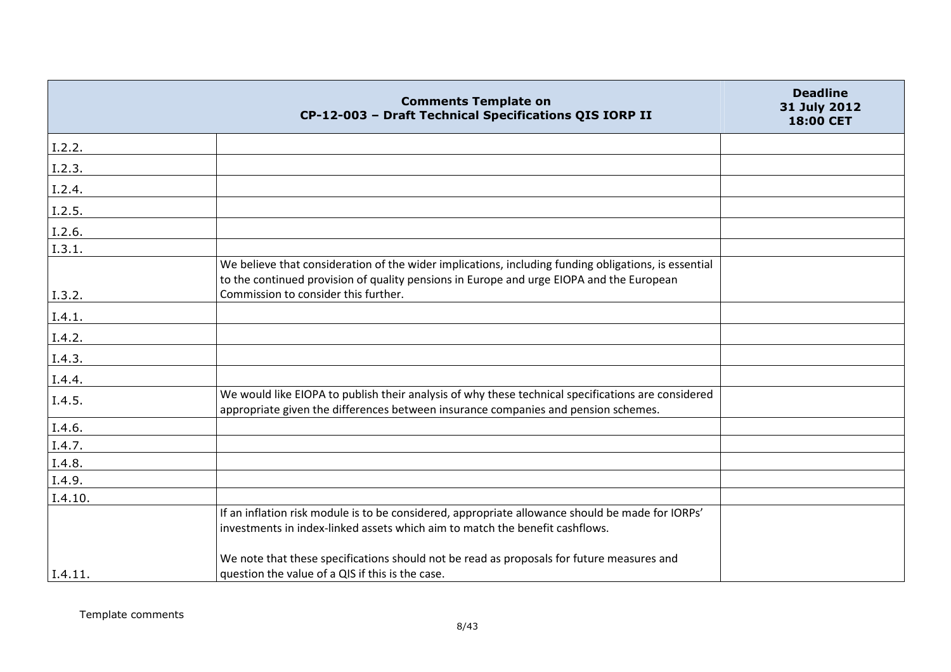|                | <b>Comments Template on</b><br>CP-12-003 - Draft Technical Specifications QIS IORP II                                                                                                            | <b>Deadline</b><br>31 July 2012<br>18:00 CET |
|----------------|--------------------------------------------------------------------------------------------------------------------------------------------------------------------------------------------------|----------------------------------------------|
| $\vert$ I.2.2. |                                                                                                                                                                                                  |                                              |
| I.2.3.         |                                                                                                                                                                                                  |                                              |
| I.2.4.         |                                                                                                                                                                                                  |                                              |
| I.2.5.         |                                                                                                                                                                                                  |                                              |
| I.2.6.         |                                                                                                                                                                                                  |                                              |
| I.3.1.         |                                                                                                                                                                                                  |                                              |
|                | We believe that consideration of the wider implications, including funding obligations, is essential<br>to the continued provision of quality pensions in Europe and urge EIOPA and the European |                                              |
| I.3.2.         | Commission to consider this further.                                                                                                                                                             |                                              |
| I.4.1.         |                                                                                                                                                                                                  |                                              |
| I.4.2.         |                                                                                                                                                                                                  |                                              |
| I.4.3.         |                                                                                                                                                                                                  |                                              |
| I.4.4.         |                                                                                                                                                                                                  |                                              |
| I.4.5.         | We would like EIOPA to publish their analysis of why these technical specifications are considered<br>appropriate given the differences between insurance companies and pension schemes.         |                                              |
| I.4.6.         |                                                                                                                                                                                                  |                                              |
| I.4.7.         |                                                                                                                                                                                                  |                                              |
| I.4.8.         |                                                                                                                                                                                                  |                                              |
| I.4.9.         |                                                                                                                                                                                                  |                                              |
| I.4.10.        |                                                                                                                                                                                                  |                                              |
|                | If an inflation risk module is to be considered, appropriate allowance should be made for IORPs'                                                                                                 |                                              |
|                | investments in index-linked assets which aim to match the benefit cashflows.                                                                                                                     |                                              |
| I.4.11.        | We note that these specifications should not be read as proposals for future measures and<br>question the value of a QIS if this is the case.                                                    |                                              |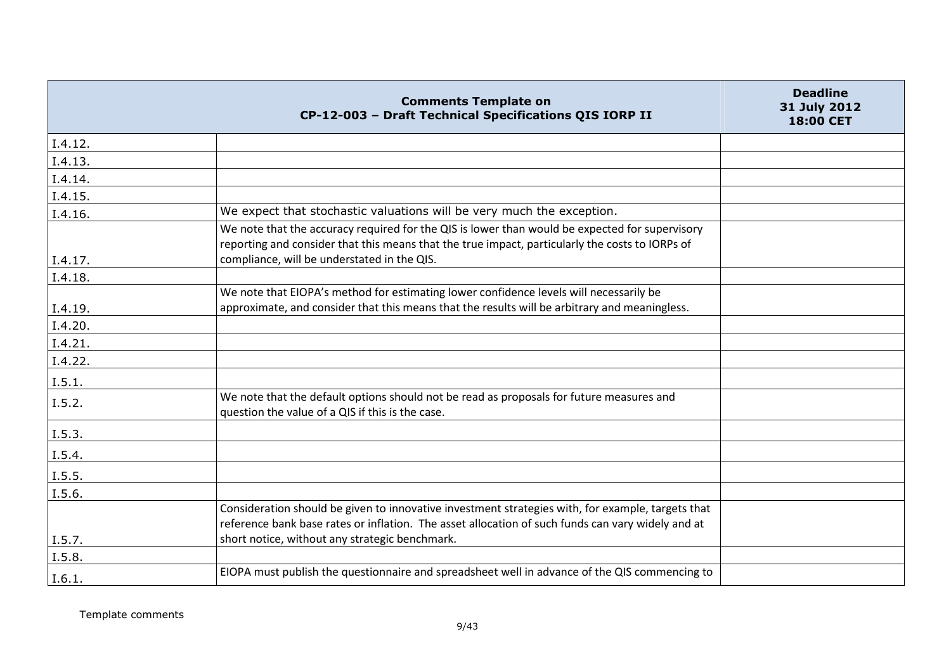|         | <b>Comments Template on</b><br>CP-12-003 - Draft Technical Specifications QIS IORP II                                                                                                                                                                    | <b>Deadline</b><br>31 July 2012<br>18:00 CET |
|---------|----------------------------------------------------------------------------------------------------------------------------------------------------------------------------------------------------------------------------------------------------------|----------------------------------------------|
| I.4.12. |                                                                                                                                                                                                                                                          |                                              |
| I.4.13. |                                                                                                                                                                                                                                                          |                                              |
| I.4.14. |                                                                                                                                                                                                                                                          |                                              |
| I.4.15. |                                                                                                                                                                                                                                                          |                                              |
| I.4.16. | We expect that stochastic valuations will be very much the exception.                                                                                                                                                                                    |                                              |
| I.4.17. | We note that the accuracy required for the QIS is lower than would be expected for supervisory<br>reporting and consider that this means that the true impact, particularly the costs to IORPs of<br>compliance, will be understated in the QIS.         |                                              |
| I.4.18. |                                                                                                                                                                                                                                                          |                                              |
| I.4.19. | We note that EIOPA's method for estimating lower confidence levels will necessarily be<br>approximate, and consider that this means that the results will be arbitrary and meaningless.                                                                  |                                              |
| I.4.20. |                                                                                                                                                                                                                                                          |                                              |
| I.4.21. |                                                                                                                                                                                                                                                          |                                              |
| I.4.22. |                                                                                                                                                                                                                                                          |                                              |
| I.5.1.  |                                                                                                                                                                                                                                                          |                                              |
| I.5.2.  | We note that the default options should not be read as proposals for future measures and<br>question the value of a QIS if this is the case.                                                                                                             |                                              |
| I.5.3.  |                                                                                                                                                                                                                                                          |                                              |
| I.5.4.  |                                                                                                                                                                                                                                                          |                                              |
| L.5.5.  |                                                                                                                                                                                                                                                          |                                              |
| I.5.6.  |                                                                                                                                                                                                                                                          |                                              |
| I.5.7.  | Consideration should be given to innovative investment strategies with, for example, targets that<br>reference bank base rates or inflation. The asset allocation of such funds can vary widely and at<br>short notice, without any strategic benchmark. |                                              |
| I.5.8.  |                                                                                                                                                                                                                                                          |                                              |
| I.6.1.  | EIOPA must publish the questionnaire and spreadsheet well in advance of the QIS commencing to                                                                                                                                                            |                                              |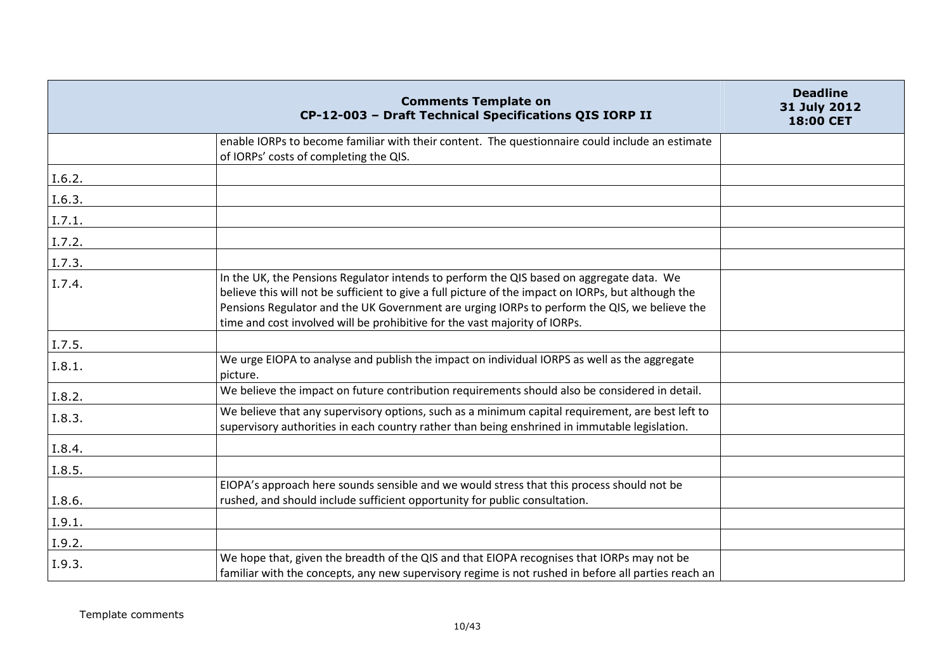|        | <b>Comments Template on</b><br>CP-12-003 - Draft Technical Specifications QIS IORP II                                                                                                                                                                                                                                                                                         | <b>Deadline</b><br>31 July 2012<br>18:00 CET |
|--------|-------------------------------------------------------------------------------------------------------------------------------------------------------------------------------------------------------------------------------------------------------------------------------------------------------------------------------------------------------------------------------|----------------------------------------------|
|        | enable IORPs to become familiar with their content. The questionnaire could include an estimate<br>of IORPs' costs of completing the QIS.                                                                                                                                                                                                                                     |                                              |
| I.6.2. |                                                                                                                                                                                                                                                                                                                                                                               |                                              |
| I.6.3. |                                                                                                                                                                                                                                                                                                                                                                               |                                              |
| I.7.1. |                                                                                                                                                                                                                                                                                                                                                                               |                                              |
| I.7.2. |                                                                                                                                                                                                                                                                                                                                                                               |                                              |
| I.7.3. |                                                                                                                                                                                                                                                                                                                                                                               |                                              |
| I.7.4. | In the UK, the Pensions Regulator intends to perform the QIS based on aggregate data. We<br>believe this will not be sufficient to give a full picture of the impact on IORPs, but although the<br>Pensions Regulator and the UK Government are urging IORPs to perform the QIS, we believe the<br>time and cost involved will be prohibitive for the vast majority of IORPs. |                                              |
| I.7.5. |                                                                                                                                                                                                                                                                                                                                                                               |                                              |
| I.8.1. | We urge EIOPA to analyse and publish the impact on individual IORPS as well as the aggregate<br>picture.                                                                                                                                                                                                                                                                      |                                              |
| I.8.2. | We believe the impact on future contribution requirements should also be considered in detail.                                                                                                                                                                                                                                                                                |                                              |
| I.8.3. | We believe that any supervisory options, such as a minimum capital requirement, are best left to<br>supervisory authorities in each country rather than being enshrined in immutable legislation.                                                                                                                                                                             |                                              |
| I.8.4. |                                                                                                                                                                                                                                                                                                                                                                               |                                              |
| I.8.5. |                                                                                                                                                                                                                                                                                                                                                                               |                                              |
| I.8.6. | EIOPA's approach here sounds sensible and we would stress that this process should not be<br>rushed, and should include sufficient opportunity for public consultation.                                                                                                                                                                                                       |                                              |
| I.9.1. |                                                                                                                                                                                                                                                                                                                                                                               |                                              |
| I.9.2. |                                                                                                                                                                                                                                                                                                                                                                               |                                              |
| I.9.3. | We hope that, given the breadth of the QIS and that EIOPA recognises that IORPs may not be<br>familiar with the concepts, any new supervisory regime is not rushed in before all parties reach an                                                                                                                                                                             |                                              |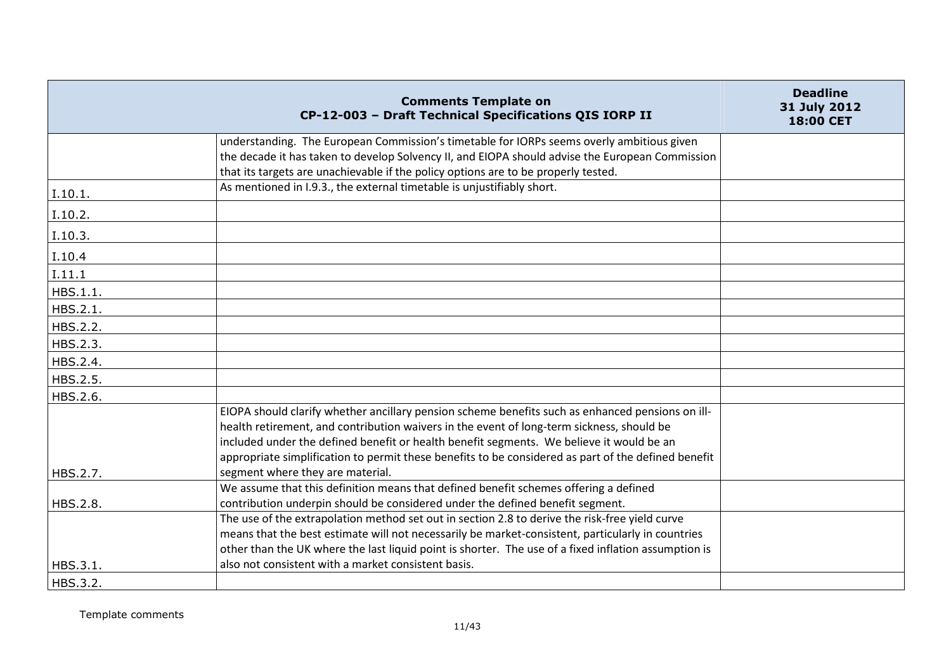|          | <b>Comments Template on</b><br>CP-12-003 - Draft Technical Specifications QIS IORP II                                                                                                                                                                                                                                                                                                            | <b>Deadline</b><br>31 July 2012<br>18:00 CET |
|----------|--------------------------------------------------------------------------------------------------------------------------------------------------------------------------------------------------------------------------------------------------------------------------------------------------------------------------------------------------------------------------------------------------|----------------------------------------------|
|          | understanding. The European Commission's timetable for IORPs seems overly ambitious given                                                                                                                                                                                                                                                                                                        |                                              |
|          | the decade it has taken to develop Solvency II, and EIOPA should advise the European Commission<br>that its targets are unachievable if the policy options are to be properly tested.                                                                                                                                                                                                            |                                              |
| I.10.1.  | As mentioned in I.9.3., the external timetable is unjustifiably short.                                                                                                                                                                                                                                                                                                                           |                                              |
| I.10.2.  |                                                                                                                                                                                                                                                                                                                                                                                                  |                                              |
| I.10.3.  |                                                                                                                                                                                                                                                                                                                                                                                                  |                                              |
| I.10.4   |                                                                                                                                                                                                                                                                                                                                                                                                  |                                              |
| I.11.1   |                                                                                                                                                                                                                                                                                                                                                                                                  |                                              |
| HBS.1.1. |                                                                                                                                                                                                                                                                                                                                                                                                  |                                              |
| HBS.2.1. |                                                                                                                                                                                                                                                                                                                                                                                                  |                                              |
| HBS.2.2. |                                                                                                                                                                                                                                                                                                                                                                                                  |                                              |
| HBS.2.3. |                                                                                                                                                                                                                                                                                                                                                                                                  |                                              |
| HBS.2.4. |                                                                                                                                                                                                                                                                                                                                                                                                  |                                              |
| HBS.2.5. |                                                                                                                                                                                                                                                                                                                                                                                                  |                                              |
| HBS.2.6. |                                                                                                                                                                                                                                                                                                                                                                                                  |                                              |
|          | EIOPA should clarify whether ancillary pension scheme benefits such as enhanced pensions on ill-<br>health retirement, and contribution waivers in the event of long-term sickness, should be<br>included under the defined benefit or health benefit segments. We believe it would be an<br>appropriate simplification to permit these benefits to be considered as part of the defined benefit |                                              |
| HBS.2.7. | segment where they are material.                                                                                                                                                                                                                                                                                                                                                                 |                                              |
| HBS.2.8. | We assume that this definition means that defined benefit schemes offering a defined<br>contribution underpin should be considered under the defined benefit segment.                                                                                                                                                                                                                            |                                              |
|          | The use of the extrapolation method set out in section 2.8 to derive the risk-free yield curve<br>means that the best estimate will not necessarily be market-consistent, particularly in countries<br>other than the UK where the last liquid point is shorter. The use of a fixed inflation assumption is                                                                                      |                                              |
| HBS.3.1. | also not consistent with a market consistent basis.                                                                                                                                                                                                                                                                                                                                              |                                              |
| HBS.3.2. |                                                                                                                                                                                                                                                                                                                                                                                                  |                                              |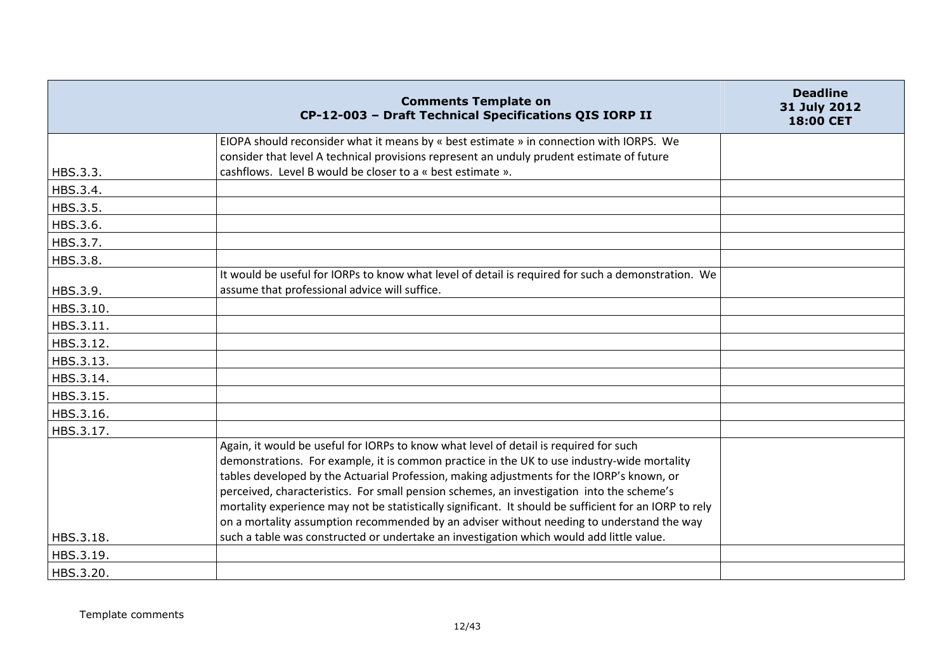|           | <b>Comments Template on</b><br>CP-12-003 - Draft Technical Specifications QIS IORP II                  | <b>Deadline</b><br>31 July 2012<br>18:00 CET |
|-----------|--------------------------------------------------------------------------------------------------------|----------------------------------------------|
|           | EIOPA should reconsider what it means by « best estimate » in connection with IORPS. We                |                                              |
|           | consider that level A technical provisions represent an unduly prudent estimate of future              |                                              |
| HBS.3.3.  | cashflows. Level B would be closer to a « best estimate ».                                             |                                              |
| HBS.3.4.  |                                                                                                        |                                              |
| HBS.3.5.  |                                                                                                        |                                              |
| HBS.3.6.  |                                                                                                        |                                              |
| HBS.3.7.  |                                                                                                        |                                              |
| HBS.3.8.  |                                                                                                        |                                              |
|           | It would be useful for IORPs to know what level of detail is required for such a demonstration. We     |                                              |
| HBS.3.9.  | assume that professional advice will suffice.                                                          |                                              |
| HBS.3.10. |                                                                                                        |                                              |
| HBS.3.11. |                                                                                                        |                                              |
| HBS.3.12. |                                                                                                        |                                              |
| HBS.3.13. |                                                                                                        |                                              |
| HBS.3.14. |                                                                                                        |                                              |
| HBS.3.15. |                                                                                                        |                                              |
| HBS.3.16. |                                                                                                        |                                              |
| HBS.3.17. |                                                                                                        |                                              |
|           | Again, it would be useful for IORPs to know what level of detail is required for such                  |                                              |
|           | demonstrations. For example, it is common practice in the UK to use industry-wide mortality            |                                              |
|           | tables developed by the Actuarial Profession, making adjustments for the IORP's known, or              |                                              |
|           | perceived, characteristics. For small pension schemes, an investigation into the scheme's              |                                              |
|           | mortality experience may not be statistically significant. It should be sufficient for an IORP to rely |                                              |
|           | on a mortality assumption recommended by an adviser without needing to understand the way              |                                              |
| HBS.3.18. | such a table was constructed or undertake an investigation which would add little value.               |                                              |
| HBS.3.19. |                                                                                                        |                                              |
| HBS.3.20. |                                                                                                        |                                              |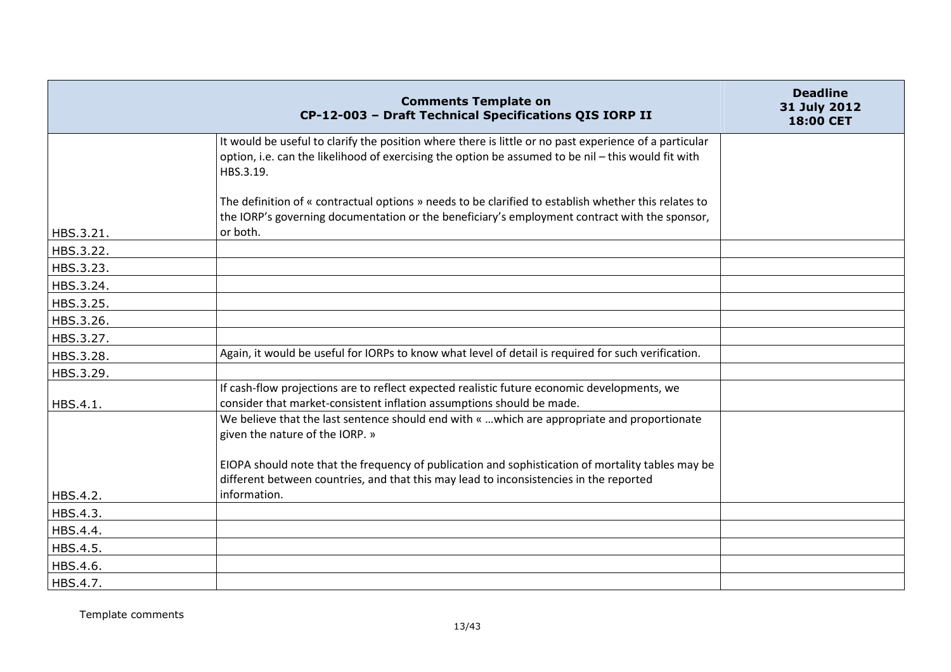|           | <b>Comments Template on</b><br>CP-12-003 - Draft Technical Specifications QIS IORP II                                                                                                                                      | <b>Deadline</b><br>31 July 2012<br>18:00 CET |
|-----------|----------------------------------------------------------------------------------------------------------------------------------------------------------------------------------------------------------------------------|----------------------------------------------|
|           | It would be useful to clarify the position where there is little or no past experience of a particular<br>option, i.e. can the likelihood of exercising the option be assumed to be nil - this would fit with<br>HBS.3.19. |                                              |
| HBS.3.21. | The definition of « contractual options » needs to be clarified to establish whether this relates to<br>the IORP's governing documentation or the beneficiary's employment contract with the sponsor,<br>or both.          |                                              |
| HBS.3.22. |                                                                                                                                                                                                                            |                                              |
| HBS.3.23. |                                                                                                                                                                                                                            |                                              |
| HBS.3.24. |                                                                                                                                                                                                                            |                                              |
| HBS.3.25. |                                                                                                                                                                                                                            |                                              |
| HBS.3.26. |                                                                                                                                                                                                                            |                                              |
| HBS.3.27. |                                                                                                                                                                                                                            |                                              |
| HBS.3.28. | Again, it would be useful for IORPs to know what level of detail is required for such verification.                                                                                                                        |                                              |
| HBS.3.29. |                                                                                                                                                                                                                            |                                              |
| HBS.4.1.  | If cash-flow projections are to reflect expected realistic future economic developments, we<br>consider that market-consistent inflation assumptions should be made.                                                       |                                              |
|           | We believe that the last sentence should end with «  which are appropriate and proportionate<br>given the nature of the IORP. »                                                                                            |                                              |
|           | EIOPA should note that the frequency of publication and sophistication of mortality tables may be<br>different between countries, and that this may lead to inconsistencies in the reported                                |                                              |
| HBS.4.2.  | information.                                                                                                                                                                                                               |                                              |
| HBS.4.3.  |                                                                                                                                                                                                                            |                                              |
| HBS.4.4.  |                                                                                                                                                                                                                            |                                              |
| HBS.4.5.  |                                                                                                                                                                                                                            |                                              |
| HBS.4.6.  |                                                                                                                                                                                                                            |                                              |
| HBS.4.7.  |                                                                                                                                                                                                                            |                                              |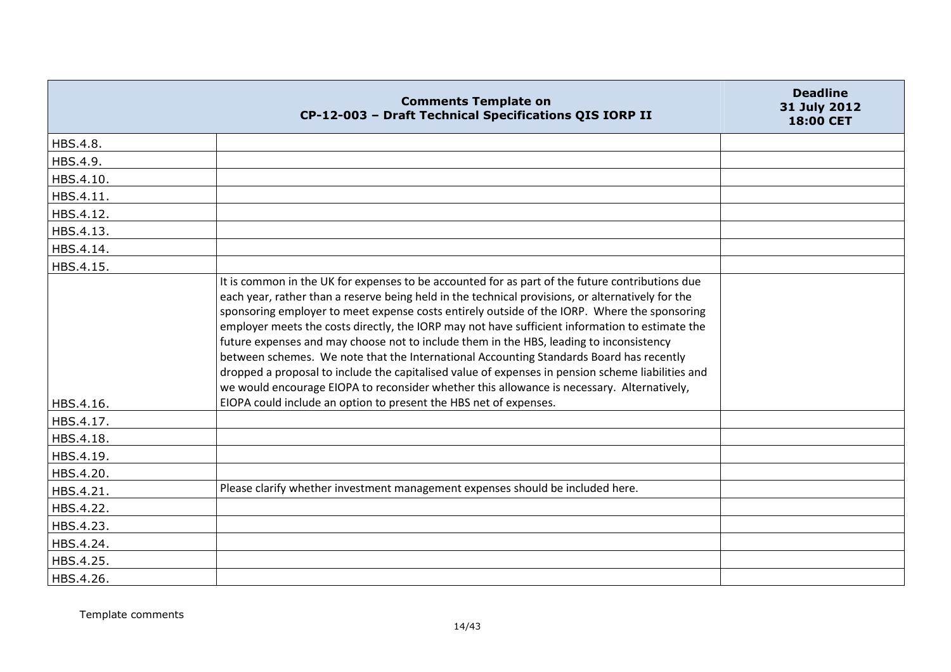|           | <b>Comments Template on</b><br>CP-12-003 - Draft Technical Specifications QIS IORP II                                                                                                                                                                                                                                                                                                                                                                                                                                                                                                                                                                                                                                                                                                                                                                                 | <b>Deadline</b><br>31 July 2012<br>18:00 CET |
|-----------|-----------------------------------------------------------------------------------------------------------------------------------------------------------------------------------------------------------------------------------------------------------------------------------------------------------------------------------------------------------------------------------------------------------------------------------------------------------------------------------------------------------------------------------------------------------------------------------------------------------------------------------------------------------------------------------------------------------------------------------------------------------------------------------------------------------------------------------------------------------------------|----------------------------------------------|
| HBS.4.8.  |                                                                                                                                                                                                                                                                                                                                                                                                                                                                                                                                                                                                                                                                                                                                                                                                                                                                       |                                              |
| HBS.4.9.  |                                                                                                                                                                                                                                                                                                                                                                                                                                                                                                                                                                                                                                                                                                                                                                                                                                                                       |                                              |
| HBS.4.10. |                                                                                                                                                                                                                                                                                                                                                                                                                                                                                                                                                                                                                                                                                                                                                                                                                                                                       |                                              |
| HBS.4.11. |                                                                                                                                                                                                                                                                                                                                                                                                                                                                                                                                                                                                                                                                                                                                                                                                                                                                       |                                              |
| HBS.4.12. |                                                                                                                                                                                                                                                                                                                                                                                                                                                                                                                                                                                                                                                                                                                                                                                                                                                                       |                                              |
| HBS.4.13. |                                                                                                                                                                                                                                                                                                                                                                                                                                                                                                                                                                                                                                                                                                                                                                                                                                                                       |                                              |
| HBS.4.14. |                                                                                                                                                                                                                                                                                                                                                                                                                                                                                                                                                                                                                                                                                                                                                                                                                                                                       |                                              |
| HBS.4.15. |                                                                                                                                                                                                                                                                                                                                                                                                                                                                                                                                                                                                                                                                                                                                                                                                                                                                       |                                              |
| HBS.4.16. | It is common in the UK for expenses to be accounted for as part of the future contributions due<br>each year, rather than a reserve being held in the technical provisions, or alternatively for the<br>sponsoring employer to meet expense costs entirely outside of the IORP. Where the sponsoring<br>employer meets the costs directly, the IORP may not have sufficient information to estimate the<br>future expenses and may choose not to include them in the HBS, leading to inconsistency<br>between schemes. We note that the International Accounting Standards Board has recently<br>dropped a proposal to include the capitalised value of expenses in pension scheme liabilities and<br>we would encourage EIOPA to reconsider whether this allowance is necessary. Alternatively,<br>EIOPA could include an option to present the HBS net of expenses. |                                              |
| HBS.4.17. |                                                                                                                                                                                                                                                                                                                                                                                                                                                                                                                                                                                                                                                                                                                                                                                                                                                                       |                                              |
| HBS.4.18. |                                                                                                                                                                                                                                                                                                                                                                                                                                                                                                                                                                                                                                                                                                                                                                                                                                                                       |                                              |
| HBS.4.19. |                                                                                                                                                                                                                                                                                                                                                                                                                                                                                                                                                                                                                                                                                                                                                                                                                                                                       |                                              |
| HBS.4.20. |                                                                                                                                                                                                                                                                                                                                                                                                                                                                                                                                                                                                                                                                                                                                                                                                                                                                       |                                              |
| HBS.4.21. | Please clarify whether investment management expenses should be included here.                                                                                                                                                                                                                                                                                                                                                                                                                                                                                                                                                                                                                                                                                                                                                                                        |                                              |
| HBS.4.22. |                                                                                                                                                                                                                                                                                                                                                                                                                                                                                                                                                                                                                                                                                                                                                                                                                                                                       |                                              |
| HBS.4.23. |                                                                                                                                                                                                                                                                                                                                                                                                                                                                                                                                                                                                                                                                                                                                                                                                                                                                       |                                              |
| HBS.4.24. |                                                                                                                                                                                                                                                                                                                                                                                                                                                                                                                                                                                                                                                                                                                                                                                                                                                                       |                                              |
| HBS.4.25. |                                                                                                                                                                                                                                                                                                                                                                                                                                                                                                                                                                                                                                                                                                                                                                                                                                                                       |                                              |
| HBS.4.26. |                                                                                                                                                                                                                                                                                                                                                                                                                                                                                                                                                                                                                                                                                                                                                                                                                                                                       |                                              |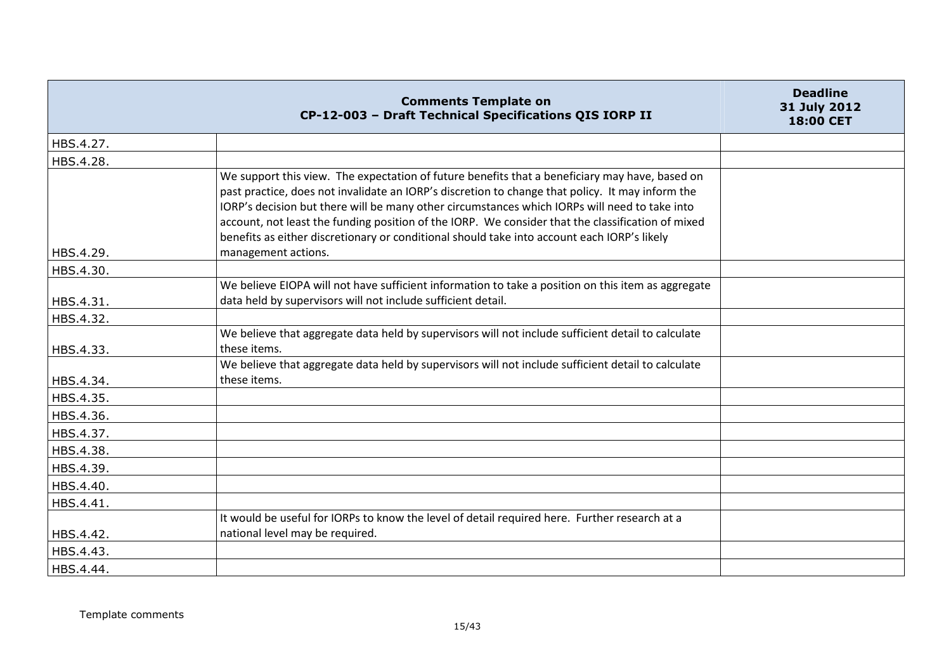|           | <b>Comments Template on</b><br>CP-12-003 - Draft Technical Specifications QIS IORP II                                                                                                                                                                                                                                                                                                                                                                                                                                          | <b>Deadline</b><br>31 July 2012<br>18:00 CET |
|-----------|--------------------------------------------------------------------------------------------------------------------------------------------------------------------------------------------------------------------------------------------------------------------------------------------------------------------------------------------------------------------------------------------------------------------------------------------------------------------------------------------------------------------------------|----------------------------------------------|
| HBS.4.27. |                                                                                                                                                                                                                                                                                                                                                                                                                                                                                                                                |                                              |
| HBS.4.28. |                                                                                                                                                                                                                                                                                                                                                                                                                                                                                                                                |                                              |
| HBS.4.29. | We support this view. The expectation of future benefits that a beneficiary may have, based on<br>past practice, does not invalidate an IORP's discretion to change that policy. It may inform the<br>IORP's decision but there will be many other circumstances which IORPs will need to take into<br>account, not least the funding position of the IORP. We consider that the classification of mixed<br>benefits as either discretionary or conditional should take into account each IORP's likely<br>management actions. |                                              |
|           |                                                                                                                                                                                                                                                                                                                                                                                                                                                                                                                                |                                              |
| HBS.4.30. | We believe EIOPA will not have sufficient information to take a position on this item as aggregate                                                                                                                                                                                                                                                                                                                                                                                                                             |                                              |
| HBS.4.31. | data held by supervisors will not include sufficient detail.                                                                                                                                                                                                                                                                                                                                                                                                                                                                   |                                              |
|           |                                                                                                                                                                                                                                                                                                                                                                                                                                                                                                                                |                                              |
| HBS.4.32. | We believe that aggregate data held by supervisors will not include sufficient detail to calculate                                                                                                                                                                                                                                                                                                                                                                                                                             |                                              |
| HBS.4.33. | these items.                                                                                                                                                                                                                                                                                                                                                                                                                                                                                                                   |                                              |
|           | We believe that aggregate data held by supervisors will not include sufficient detail to calculate                                                                                                                                                                                                                                                                                                                                                                                                                             |                                              |
| HBS.4.34. | these items.                                                                                                                                                                                                                                                                                                                                                                                                                                                                                                                   |                                              |
| HBS.4.35. |                                                                                                                                                                                                                                                                                                                                                                                                                                                                                                                                |                                              |
| HBS.4.36. |                                                                                                                                                                                                                                                                                                                                                                                                                                                                                                                                |                                              |
| HBS.4.37. |                                                                                                                                                                                                                                                                                                                                                                                                                                                                                                                                |                                              |
| HBS.4.38. |                                                                                                                                                                                                                                                                                                                                                                                                                                                                                                                                |                                              |
| HBS.4.39. |                                                                                                                                                                                                                                                                                                                                                                                                                                                                                                                                |                                              |
| HBS.4.40. |                                                                                                                                                                                                                                                                                                                                                                                                                                                                                                                                |                                              |
| HBS.4.41. |                                                                                                                                                                                                                                                                                                                                                                                                                                                                                                                                |                                              |
|           | It would be useful for IORPs to know the level of detail required here. Further research at a                                                                                                                                                                                                                                                                                                                                                                                                                                  |                                              |
| HBS.4.42. | national level may be required.                                                                                                                                                                                                                                                                                                                                                                                                                                                                                                |                                              |
| HBS.4.43. |                                                                                                                                                                                                                                                                                                                                                                                                                                                                                                                                |                                              |
| HBS.4.44. |                                                                                                                                                                                                                                                                                                                                                                                                                                                                                                                                |                                              |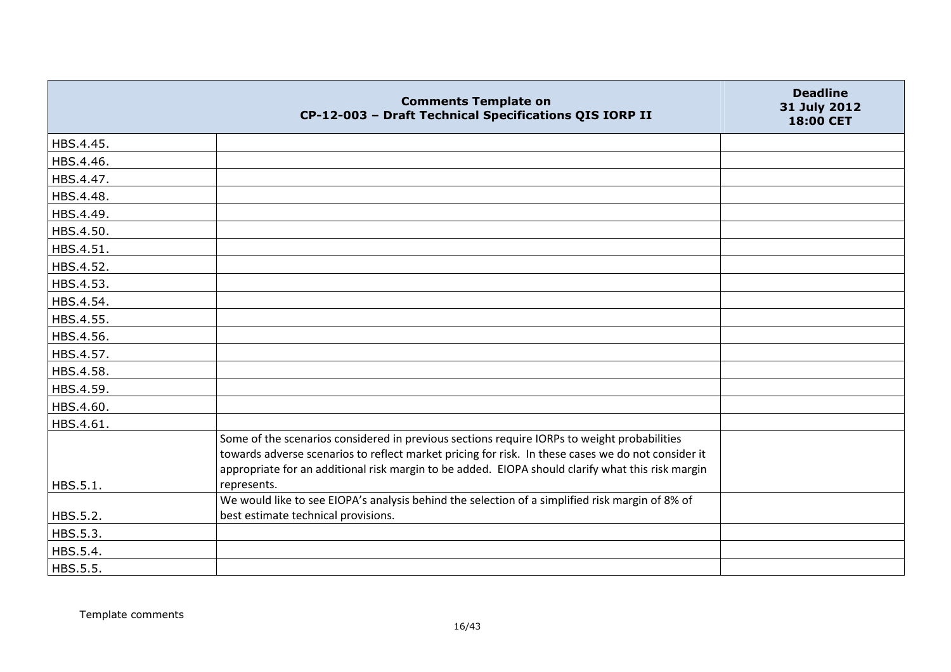|           | <b>Comments Template on</b><br>CP-12-003 - Draft Technical Specifications QIS IORP II                                                                                                                                                                                                                  | <b>Deadline</b><br>31 July 2012<br>18:00 CET |
|-----------|--------------------------------------------------------------------------------------------------------------------------------------------------------------------------------------------------------------------------------------------------------------------------------------------------------|----------------------------------------------|
| HBS.4.45. |                                                                                                                                                                                                                                                                                                        |                                              |
| HBS.4.46. |                                                                                                                                                                                                                                                                                                        |                                              |
| HBS.4.47. |                                                                                                                                                                                                                                                                                                        |                                              |
| HBS.4.48. |                                                                                                                                                                                                                                                                                                        |                                              |
| HBS.4.49. |                                                                                                                                                                                                                                                                                                        |                                              |
| HBS.4.50. |                                                                                                                                                                                                                                                                                                        |                                              |
| HBS.4.51. |                                                                                                                                                                                                                                                                                                        |                                              |
| HBS.4.52. |                                                                                                                                                                                                                                                                                                        |                                              |
| HBS.4.53. |                                                                                                                                                                                                                                                                                                        |                                              |
| HBS.4.54. |                                                                                                                                                                                                                                                                                                        |                                              |
| HBS.4.55. |                                                                                                                                                                                                                                                                                                        |                                              |
| HBS.4.56. |                                                                                                                                                                                                                                                                                                        |                                              |
| HBS.4.57. |                                                                                                                                                                                                                                                                                                        |                                              |
| HBS.4.58. |                                                                                                                                                                                                                                                                                                        |                                              |
| HBS.4.59. |                                                                                                                                                                                                                                                                                                        |                                              |
| HBS.4.60. |                                                                                                                                                                                                                                                                                                        |                                              |
| HBS.4.61. |                                                                                                                                                                                                                                                                                                        |                                              |
|           | Some of the scenarios considered in previous sections require IORPs to weight probabilities<br>towards adverse scenarios to reflect market pricing for risk. In these cases we do not consider it<br>appropriate for an additional risk margin to be added. EIOPA should clarify what this risk margin |                                              |
| HBS.5.1.  | represents.                                                                                                                                                                                                                                                                                            |                                              |
| HBS.5.2.  | We would like to see EIOPA's analysis behind the selection of a simplified risk margin of 8% of<br>best estimate technical provisions.                                                                                                                                                                 |                                              |
| HBS.5.3.  |                                                                                                                                                                                                                                                                                                        |                                              |
| HBS.5.4.  |                                                                                                                                                                                                                                                                                                        |                                              |
| HBS.5.5.  |                                                                                                                                                                                                                                                                                                        |                                              |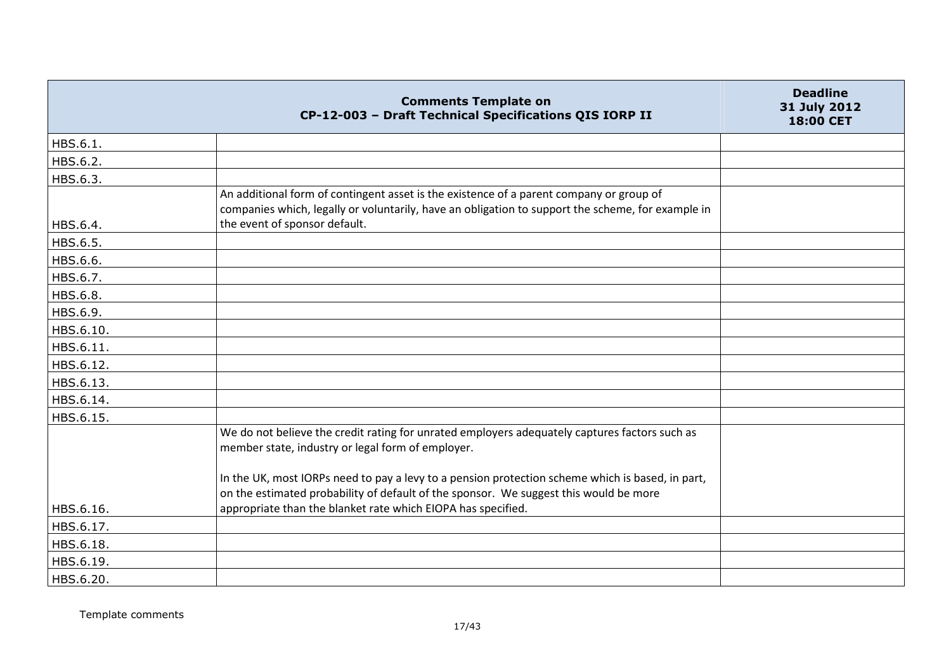|           | <b>Comments Template on</b><br>CP-12-003 - Draft Technical Specifications QIS IORP II                                                                                                        | <b>Deadline</b><br>31 July 2012<br>18:00 CET |
|-----------|----------------------------------------------------------------------------------------------------------------------------------------------------------------------------------------------|----------------------------------------------|
| HBS.6.1.  |                                                                                                                                                                                              |                                              |
| HBS.6.2.  |                                                                                                                                                                                              |                                              |
| HBS.6.3.  |                                                                                                                                                                                              |                                              |
|           | An additional form of contingent asset is the existence of a parent company or group of<br>companies which, legally or voluntarily, have an obligation to support the scheme, for example in |                                              |
| HBS.6.4.  | the event of sponsor default.                                                                                                                                                                |                                              |
| HBS.6.5.  |                                                                                                                                                                                              |                                              |
| HBS.6.6.  |                                                                                                                                                                                              |                                              |
| HBS.6.7.  |                                                                                                                                                                                              |                                              |
| HBS.6.8.  |                                                                                                                                                                                              |                                              |
| HBS.6.9.  |                                                                                                                                                                                              |                                              |
| HBS.6.10. |                                                                                                                                                                                              |                                              |
| HBS.6.11. |                                                                                                                                                                                              |                                              |
| HBS.6.12. |                                                                                                                                                                                              |                                              |
| HBS.6.13. |                                                                                                                                                                                              |                                              |
| HBS.6.14. |                                                                                                                                                                                              |                                              |
| HBS.6.15. |                                                                                                                                                                                              |                                              |
|           | We do not believe the credit rating for unrated employers adequately captures factors such as<br>member state, industry or legal form of employer.                                           |                                              |
|           | In the UK, most IORPs need to pay a levy to a pension protection scheme which is based, in part,                                                                                             |                                              |
|           | on the estimated probability of default of the sponsor. We suggest this would be more<br>appropriate than the blanket rate which EIOPA has specified.                                        |                                              |
| HBS.6.16. |                                                                                                                                                                                              |                                              |
| HBS.6.17. |                                                                                                                                                                                              |                                              |
| HBS.6.18. |                                                                                                                                                                                              |                                              |
| HBS.6.19. |                                                                                                                                                                                              |                                              |
| HBS.6.20. |                                                                                                                                                                                              |                                              |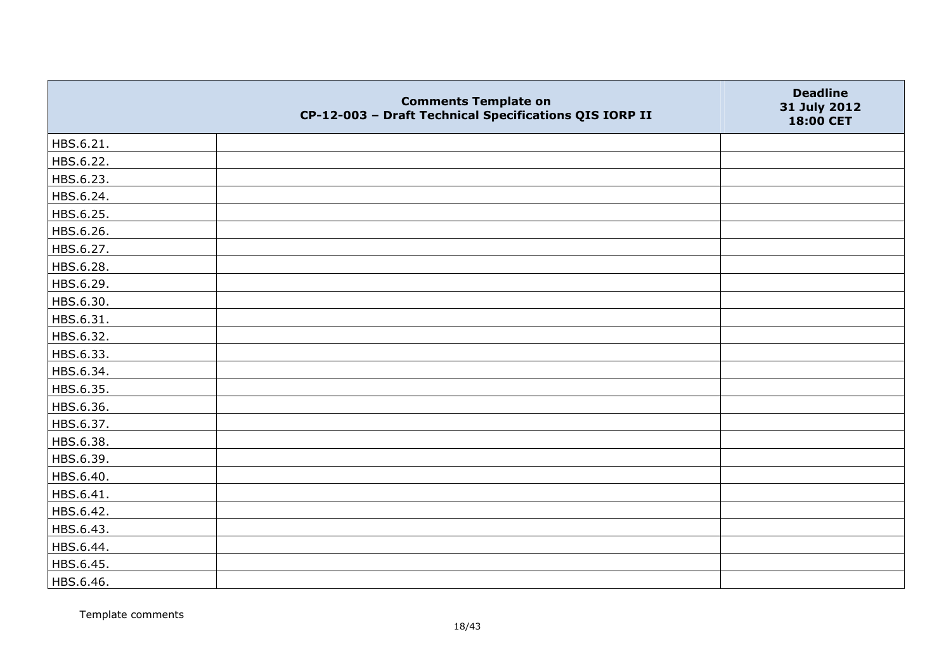|           | <b>Comments Template on</b><br>CP-12-003 - Draft Technical Specifications QIS IORP II | <b>Deadline</b><br>31 July 2012<br>18:00 CET |
|-----------|---------------------------------------------------------------------------------------|----------------------------------------------|
| HBS.6.21. |                                                                                       |                                              |
| HBS.6.22. |                                                                                       |                                              |
| HBS.6.23. |                                                                                       |                                              |
| HBS.6.24. |                                                                                       |                                              |
| HBS.6.25. |                                                                                       |                                              |
| HBS.6.26. |                                                                                       |                                              |
| HBS.6.27. |                                                                                       |                                              |
| HBS.6.28. |                                                                                       |                                              |
| HBS.6.29. |                                                                                       |                                              |
| HBS.6.30. |                                                                                       |                                              |
| HBS.6.31. |                                                                                       |                                              |
| HBS.6.32. |                                                                                       |                                              |
| HBS.6.33. |                                                                                       |                                              |
| HBS.6.34. |                                                                                       |                                              |
| HBS.6.35. |                                                                                       |                                              |
| HBS.6.36. |                                                                                       |                                              |
| HBS.6.37. |                                                                                       |                                              |
| HBS.6.38. |                                                                                       |                                              |
| HBS.6.39. |                                                                                       |                                              |
| HBS.6.40. |                                                                                       |                                              |
| HBS.6.41. |                                                                                       |                                              |
| HBS.6.42. |                                                                                       |                                              |
| HBS.6.43. |                                                                                       |                                              |
| HBS.6.44. |                                                                                       |                                              |
| HBS.6.45. |                                                                                       |                                              |
| HBS.6.46. |                                                                                       |                                              |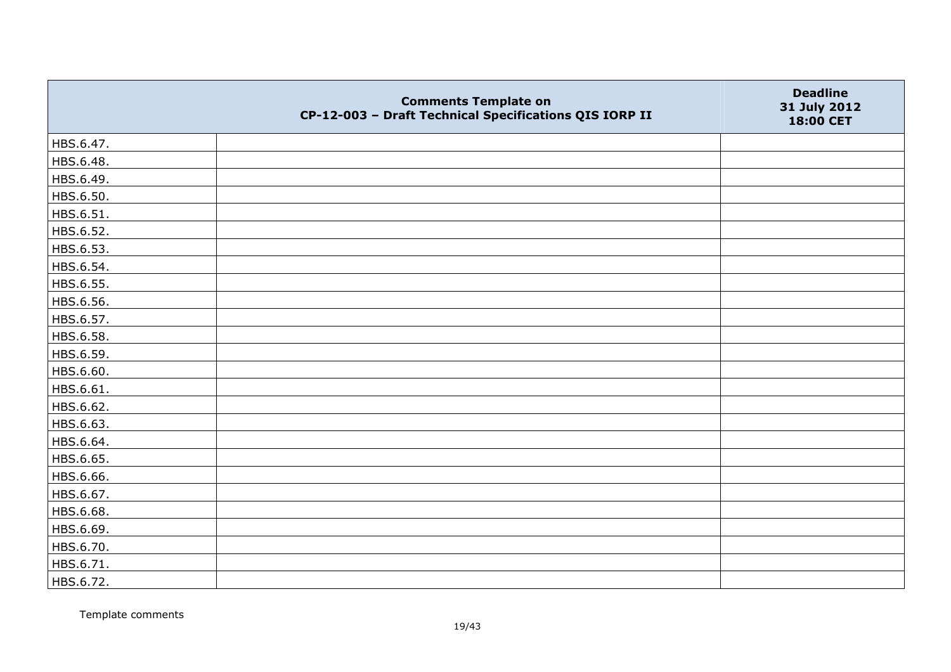|           | <b>Comments Template on</b><br>CP-12-003 - Draft Technical Specifications QIS IORP II | <b>Deadline</b><br>31 July 2012<br>18:00 CET |
|-----------|---------------------------------------------------------------------------------------|----------------------------------------------|
| HBS.6.47. |                                                                                       |                                              |
| HBS.6.48. |                                                                                       |                                              |
| HBS.6.49. |                                                                                       |                                              |
| HBS.6.50. |                                                                                       |                                              |
| HBS.6.51. |                                                                                       |                                              |
| HBS.6.52. |                                                                                       |                                              |
| HBS.6.53. |                                                                                       |                                              |
| HBS.6.54. |                                                                                       |                                              |
| HBS.6.55. |                                                                                       |                                              |
| HBS.6.56. |                                                                                       |                                              |
| HBS.6.57. |                                                                                       |                                              |
| HBS.6.58. |                                                                                       |                                              |
| HBS.6.59. |                                                                                       |                                              |
| HBS.6.60. |                                                                                       |                                              |
| HBS.6.61. |                                                                                       |                                              |
| HBS.6.62. |                                                                                       |                                              |
| HBS.6.63. |                                                                                       |                                              |
| HBS.6.64. |                                                                                       |                                              |
| HBS.6.65. |                                                                                       |                                              |
| HBS.6.66. |                                                                                       |                                              |
| HBS.6.67. |                                                                                       |                                              |
| HBS.6.68. |                                                                                       |                                              |
| HBS.6.69. |                                                                                       |                                              |
| HBS.6.70. |                                                                                       |                                              |
| HBS.6.71. |                                                                                       |                                              |
| HBS.6.72. |                                                                                       |                                              |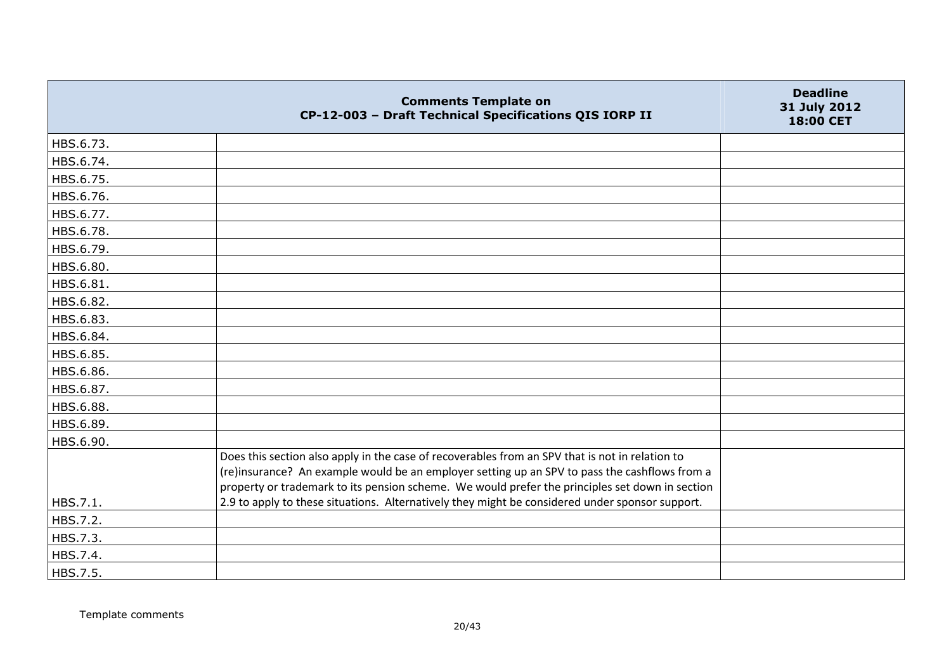|           | <b>Comments Template on</b><br>CP-12-003 - Draft Technical Specifications QIS IORP II                                                                                                                                                                                                               | <b>Deadline</b><br>31 July 2012<br>18:00 CET |
|-----------|-----------------------------------------------------------------------------------------------------------------------------------------------------------------------------------------------------------------------------------------------------------------------------------------------------|----------------------------------------------|
| HBS.6.73. |                                                                                                                                                                                                                                                                                                     |                                              |
| HBS.6.74. |                                                                                                                                                                                                                                                                                                     |                                              |
| HBS.6.75. |                                                                                                                                                                                                                                                                                                     |                                              |
| HBS.6.76. |                                                                                                                                                                                                                                                                                                     |                                              |
| HBS.6.77. |                                                                                                                                                                                                                                                                                                     |                                              |
| HBS.6.78. |                                                                                                                                                                                                                                                                                                     |                                              |
| HBS.6.79. |                                                                                                                                                                                                                                                                                                     |                                              |
| HBS.6.80. |                                                                                                                                                                                                                                                                                                     |                                              |
| HBS.6.81. |                                                                                                                                                                                                                                                                                                     |                                              |
| HBS.6.82. |                                                                                                                                                                                                                                                                                                     |                                              |
| HBS.6.83. |                                                                                                                                                                                                                                                                                                     |                                              |
| HBS.6.84. |                                                                                                                                                                                                                                                                                                     |                                              |
| HBS.6.85. |                                                                                                                                                                                                                                                                                                     |                                              |
| HBS.6.86. |                                                                                                                                                                                                                                                                                                     |                                              |
| HBS.6.87. |                                                                                                                                                                                                                                                                                                     |                                              |
| HBS.6.88. |                                                                                                                                                                                                                                                                                                     |                                              |
| HBS.6.89. |                                                                                                                                                                                                                                                                                                     |                                              |
| HBS.6.90. |                                                                                                                                                                                                                                                                                                     |                                              |
|           | Does this section also apply in the case of recoverables from an SPV that is not in relation to<br>(re)insurance? An example would be an employer setting up an SPV to pass the cashflows from a<br>property or trademark to its pension scheme. We would prefer the principles set down in section |                                              |
| HBS.7.1.  | 2.9 to apply to these situations. Alternatively they might be considered under sponsor support.                                                                                                                                                                                                     |                                              |
| HBS.7.2.  |                                                                                                                                                                                                                                                                                                     |                                              |
| HBS.7.3.  |                                                                                                                                                                                                                                                                                                     |                                              |
| HBS.7.4.  |                                                                                                                                                                                                                                                                                                     |                                              |
| HBS.7.5.  |                                                                                                                                                                                                                                                                                                     |                                              |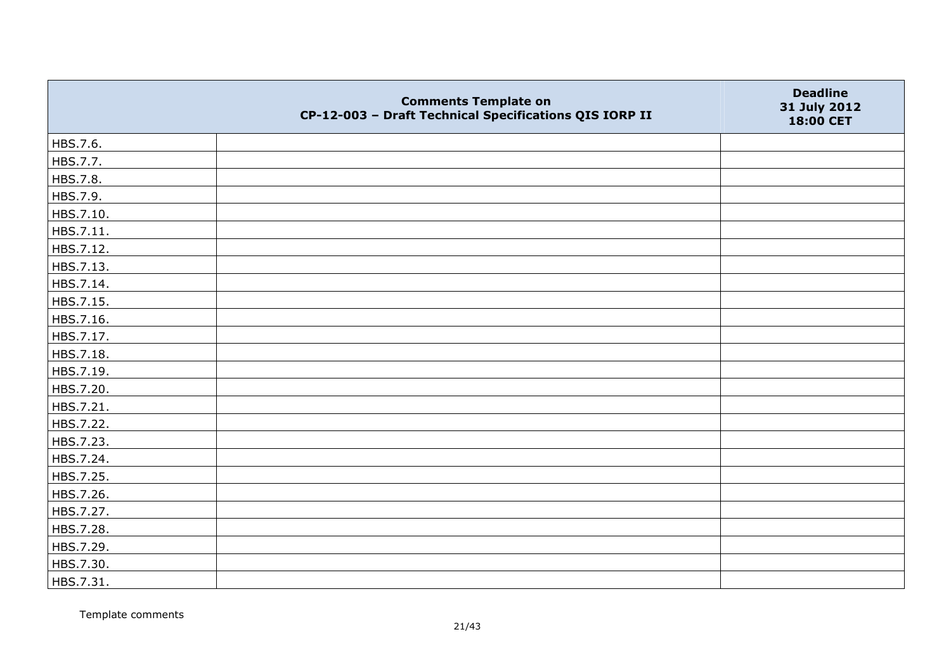|           | <b>Comments Template on</b><br>CP-12-003 - Draft Technical Specifications QIS IORP II | <b>Deadline</b><br>31 July 2012<br>18:00 CET |
|-----------|---------------------------------------------------------------------------------------|----------------------------------------------|
| HBS.7.6.  |                                                                                       |                                              |
| HBS.7.7.  |                                                                                       |                                              |
| HBS.7.8.  |                                                                                       |                                              |
| HBS.7.9.  |                                                                                       |                                              |
| HBS.7.10. |                                                                                       |                                              |
| HBS.7.11. |                                                                                       |                                              |
| HBS.7.12. |                                                                                       |                                              |
| HBS.7.13. |                                                                                       |                                              |
| HBS.7.14. |                                                                                       |                                              |
| HBS.7.15. |                                                                                       |                                              |
| HBS.7.16. |                                                                                       |                                              |
| HBS.7.17. |                                                                                       |                                              |
| HBS.7.18. |                                                                                       |                                              |
| HBS.7.19. |                                                                                       |                                              |
| HBS.7.20. |                                                                                       |                                              |
| HBS.7.21. |                                                                                       |                                              |
| HBS.7.22. |                                                                                       |                                              |
| HBS.7.23. |                                                                                       |                                              |
| HBS.7.24. |                                                                                       |                                              |
| HBS.7.25. |                                                                                       |                                              |
| HBS.7.26. |                                                                                       |                                              |
| HBS.7.27. |                                                                                       |                                              |
| HBS.7.28. |                                                                                       |                                              |
| HBS.7.29. |                                                                                       |                                              |
| HBS.7.30. |                                                                                       |                                              |
| HBS.7.31. |                                                                                       |                                              |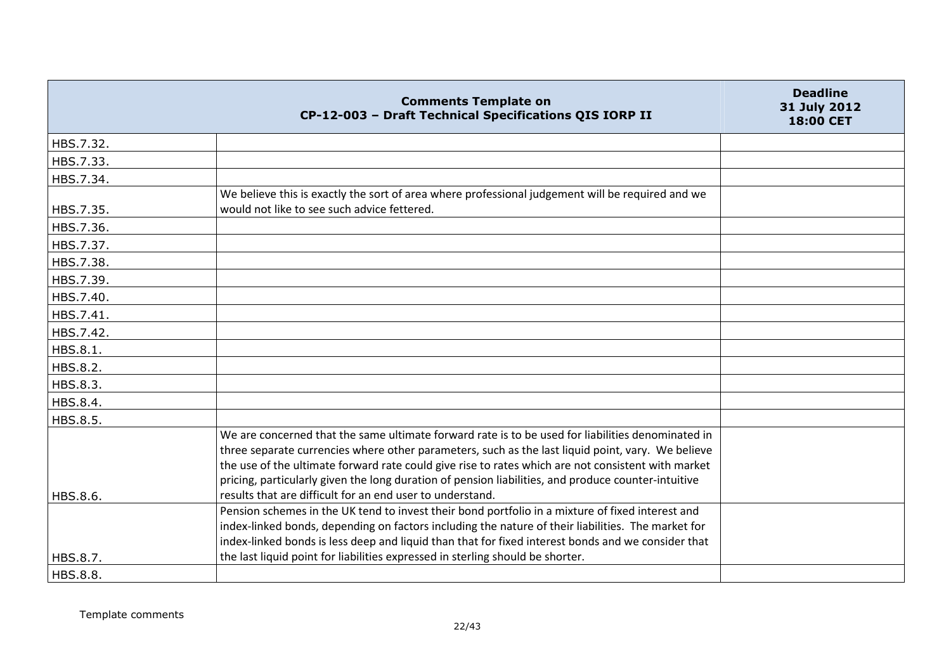|           | <b>Comments Template on</b><br>CP-12-003 - Draft Technical Specifications QIS IORP II                                                                                                                                                                                                                                                                                                                               | <b>Deadline</b><br>31 July 2012<br>18:00 CET |
|-----------|---------------------------------------------------------------------------------------------------------------------------------------------------------------------------------------------------------------------------------------------------------------------------------------------------------------------------------------------------------------------------------------------------------------------|----------------------------------------------|
| HBS.7.32. |                                                                                                                                                                                                                                                                                                                                                                                                                     |                                              |
| HBS.7.33. |                                                                                                                                                                                                                                                                                                                                                                                                                     |                                              |
| HBS.7.34. |                                                                                                                                                                                                                                                                                                                                                                                                                     |                                              |
|           | We believe this is exactly the sort of area where professional judgement will be required and we                                                                                                                                                                                                                                                                                                                    |                                              |
| HBS.7.35. | would not like to see such advice fettered.                                                                                                                                                                                                                                                                                                                                                                         |                                              |
| HBS.7.36. |                                                                                                                                                                                                                                                                                                                                                                                                                     |                                              |
| HBS.7.37. |                                                                                                                                                                                                                                                                                                                                                                                                                     |                                              |
| HBS.7.38. |                                                                                                                                                                                                                                                                                                                                                                                                                     |                                              |
| HBS.7.39. |                                                                                                                                                                                                                                                                                                                                                                                                                     |                                              |
| HBS.7.40. |                                                                                                                                                                                                                                                                                                                                                                                                                     |                                              |
| HBS.7.41. |                                                                                                                                                                                                                                                                                                                                                                                                                     |                                              |
| HBS.7.42. |                                                                                                                                                                                                                                                                                                                                                                                                                     |                                              |
| HBS.8.1.  |                                                                                                                                                                                                                                                                                                                                                                                                                     |                                              |
| HBS.8.2.  |                                                                                                                                                                                                                                                                                                                                                                                                                     |                                              |
| HBS.8.3.  |                                                                                                                                                                                                                                                                                                                                                                                                                     |                                              |
| HBS.8.4.  |                                                                                                                                                                                                                                                                                                                                                                                                                     |                                              |
| HBS.8.5.  |                                                                                                                                                                                                                                                                                                                                                                                                                     |                                              |
|           | We are concerned that the same ultimate forward rate is to be used for liabilities denominated in<br>three separate currencies where other parameters, such as the last liquid point, vary. We believe<br>the use of the ultimate forward rate could give rise to rates which are not consistent with market<br>pricing, particularly given the long duration of pension liabilities, and produce counter-intuitive |                                              |
| HBS.8.6.  | results that are difficult for an end user to understand.                                                                                                                                                                                                                                                                                                                                                           |                                              |
|           | Pension schemes in the UK tend to invest their bond portfolio in a mixture of fixed interest and<br>index-linked bonds, depending on factors including the nature of their liabilities. The market for<br>index-linked bonds is less deep and liquid than that for fixed interest bonds and we consider that                                                                                                        |                                              |
| HBS.8.7.  | the last liquid point for liabilities expressed in sterling should be shorter.                                                                                                                                                                                                                                                                                                                                      |                                              |
| HBS.8.8.  |                                                                                                                                                                                                                                                                                                                                                                                                                     |                                              |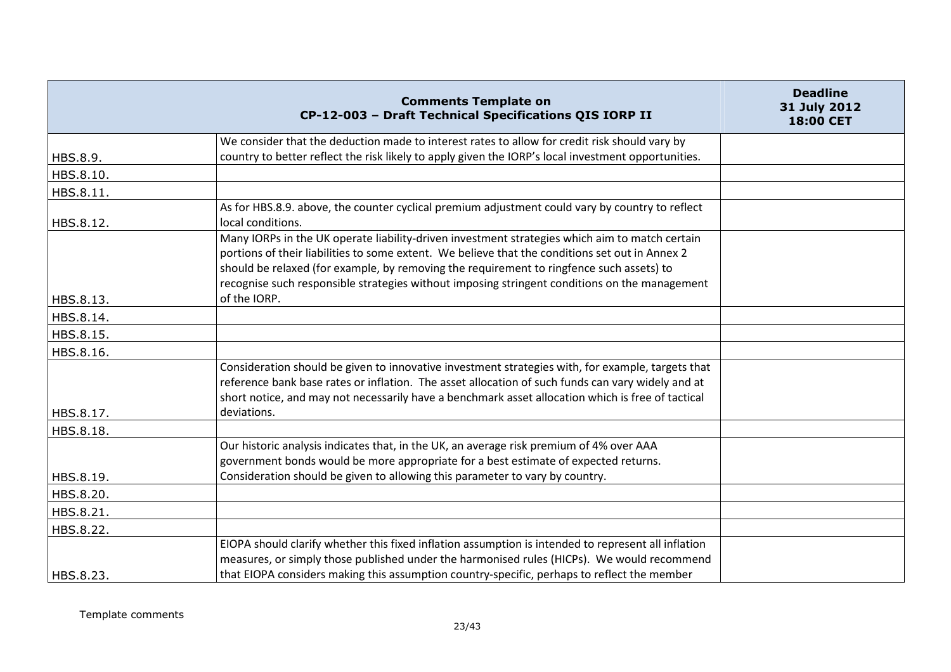|           | <b>Comments Template on</b><br>CP-12-003 - Draft Technical Specifications QIS IORP II                                                                                                                                                                                                                                                                                                          | <b>Deadline</b><br>31 July 2012<br>18:00 CET |
|-----------|------------------------------------------------------------------------------------------------------------------------------------------------------------------------------------------------------------------------------------------------------------------------------------------------------------------------------------------------------------------------------------------------|----------------------------------------------|
|           | We consider that the deduction made to interest rates to allow for credit risk should vary by                                                                                                                                                                                                                                                                                                  |                                              |
| HBS.8.9.  | country to better reflect the risk likely to apply given the IORP's local investment opportunities.                                                                                                                                                                                                                                                                                            |                                              |
| HBS.8.10. |                                                                                                                                                                                                                                                                                                                                                                                                |                                              |
| HBS.8.11. |                                                                                                                                                                                                                                                                                                                                                                                                |                                              |
| HBS.8.12. | As for HBS.8.9. above, the counter cyclical premium adjustment could vary by country to reflect<br>local conditions.                                                                                                                                                                                                                                                                           |                                              |
|           | Many IORPs in the UK operate liability-driven investment strategies which aim to match certain<br>portions of their liabilities to some extent. We believe that the conditions set out in Annex 2<br>should be relaxed (for example, by removing the requirement to ringfence such assets) to<br>recognise such responsible strategies without imposing stringent conditions on the management |                                              |
| HBS.8.13. | of the IORP.                                                                                                                                                                                                                                                                                                                                                                                   |                                              |
| HBS.8.14. |                                                                                                                                                                                                                                                                                                                                                                                                |                                              |
| HBS.8.15. |                                                                                                                                                                                                                                                                                                                                                                                                |                                              |
| HBS.8.16. |                                                                                                                                                                                                                                                                                                                                                                                                |                                              |
| HBS.8.17. | Consideration should be given to innovative investment strategies with, for example, targets that<br>reference bank base rates or inflation. The asset allocation of such funds can vary widely and at<br>short notice, and may not necessarily have a benchmark asset allocation which is free of tactical<br>deviations.                                                                     |                                              |
| HBS.8.18. |                                                                                                                                                                                                                                                                                                                                                                                                |                                              |
|           | Our historic analysis indicates that, in the UK, an average risk premium of 4% over AAA<br>government bonds would be more appropriate for a best estimate of expected returns.                                                                                                                                                                                                                 |                                              |
| HBS.8.19. | Consideration should be given to allowing this parameter to vary by country.                                                                                                                                                                                                                                                                                                                   |                                              |
| HBS.8.20. |                                                                                                                                                                                                                                                                                                                                                                                                |                                              |
| HBS.8.21. |                                                                                                                                                                                                                                                                                                                                                                                                |                                              |
| HBS.8.22. |                                                                                                                                                                                                                                                                                                                                                                                                |                                              |
| HBS.8.23. | EIOPA should clarify whether this fixed inflation assumption is intended to represent all inflation<br>measures, or simply those published under the harmonised rules (HICPs). We would recommend<br>that EIOPA considers making this assumption country-specific, perhaps to reflect the member                                                                                               |                                              |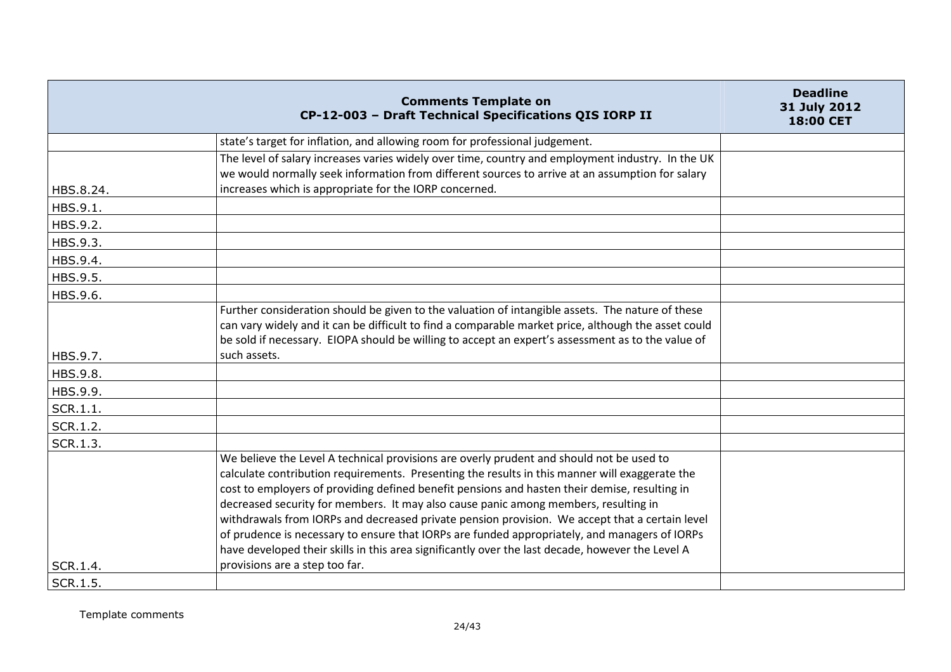|           | <b>Comments Template on</b><br>CP-12-003 - Draft Technical Specifications QIS IORP II                                                                                                                                                                                                                                                                                                                                                                                                                                                                                                                                                                                                                                       | <b>Deadline</b><br>31 July 2012<br>18:00 CET |
|-----------|-----------------------------------------------------------------------------------------------------------------------------------------------------------------------------------------------------------------------------------------------------------------------------------------------------------------------------------------------------------------------------------------------------------------------------------------------------------------------------------------------------------------------------------------------------------------------------------------------------------------------------------------------------------------------------------------------------------------------------|----------------------------------------------|
|           | state's target for inflation, and allowing room for professional judgement.                                                                                                                                                                                                                                                                                                                                                                                                                                                                                                                                                                                                                                                 |                                              |
| HBS.8.24. | The level of salary increases varies widely over time, country and employment industry. In the UK<br>we would normally seek information from different sources to arrive at an assumption for salary<br>increases which is appropriate for the IORP concerned.                                                                                                                                                                                                                                                                                                                                                                                                                                                              |                                              |
| HBS.9.1.  |                                                                                                                                                                                                                                                                                                                                                                                                                                                                                                                                                                                                                                                                                                                             |                                              |
| HBS.9.2.  |                                                                                                                                                                                                                                                                                                                                                                                                                                                                                                                                                                                                                                                                                                                             |                                              |
| HBS.9.3.  |                                                                                                                                                                                                                                                                                                                                                                                                                                                                                                                                                                                                                                                                                                                             |                                              |
| HBS.9.4.  |                                                                                                                                                                                                                                                                                                                                                                                                                                                                                                                                                                                                                                                                                                                             |                                              |
| HBS.9.5.  |                                                                                                                                                                                                                                                                                                                                                                                                                                                                                                                                                                                                                                                                                                                             |                                              |
| HBS.9.6.  |                                                                                                                                                                                                                                                                                                                                                                                                                                                                                                                                                                                                                                                                                                                             |                                              |
| HBS.9.7.  | Further consideration should be given to the valuation of intangible assets. The nature of these<br>can vary widely and it can be difficult to find a comparable market price, although the asset could<br>be sold if necessary. EIOPA should be willing to accept an expert's assessment as to the value of<br>such assets.                                                                                                                                                                                                                                                                                                                                                                                                |                                              |
| HBS.9.8.  |                                                                                                                                                                                                                                                                                                                                                                                                                                                                                                                                                                                                                                                                                                                             |                                              |
| HBS.9.9.  |                                                                                                                                                                                                                                                                                                                                                                                                                                                                                                                                                                                                                                                                                                                             |                                              |
| SCR.1.1.  |                                                                                                                                                                                                                                                                                                                                                                                                                                                                                                                                                                                                                                                                                                                             |                                              |
| SCR.1.2.  |                                                                                                                                                                                                                                                                                                                                                                                                                                                                                                                                                                                                                                                                                                                             |                                              |
| SCR.1.3.  |                                                                                                                                                                                                                                                                                                                                                                                                                                                                                                                                                                                                                                                                                                                             |                                              |
| SCR.1.4.  | We believe the Level A technical provisions are overly prudent and should not be used to<br>calculate contribution requirements. Presenting the results in this manner will exaggerate the<br>cost to employers of providing defined benefit pensions and hasten their demise, resulting in<br>decreased security for members. It may also cause panic among members, resulting in<br>withdrawals from IORPs and decreased private pension provision. We accept that a certain level<br>of prudence is necessary to ensure that IORPs are funded appropriately, and managers of IORPs<br>have developed their skills in this area significantly over the last decade, however the Level A<br>provisions are a step too far. |                                              |
| SCR.1.5.  |                                                                                                                                                                                                                                                                                                                                                                                                                                                                                                                                                                                                                                                                                                                             |                                              |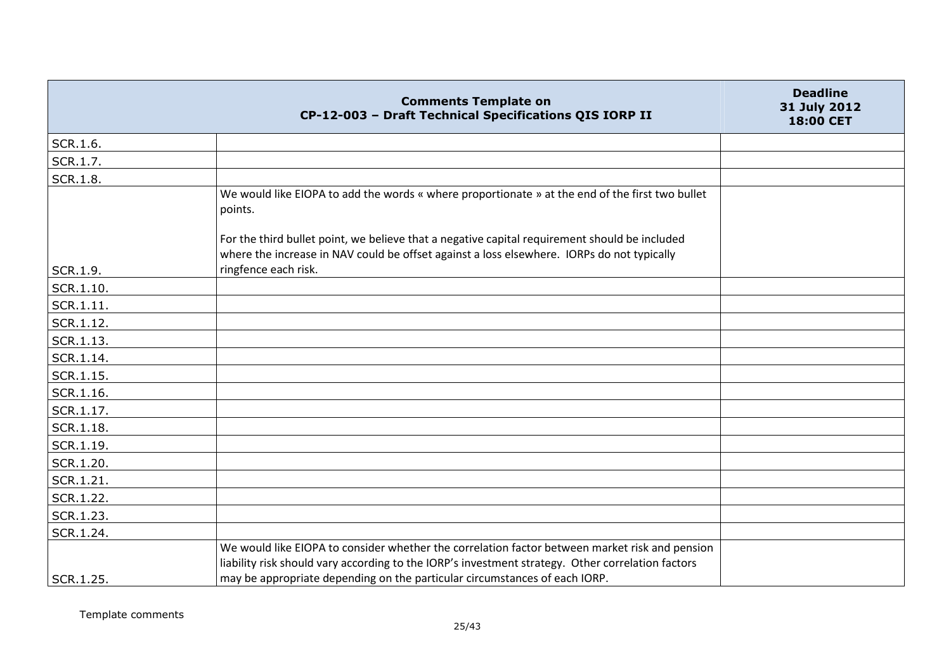|                 | <b>Comments Template on</b><br>CP-12-003 - Draft Technical Specifications QIS IORP II                                                                                                                                                                                             | <b>Deadline</b><br>31 July 2012<br>18:00 CET |
|-----------------|-----------------------------------------------------------------------------------------------------------------------------------------------------------------------------------------------------------------------------------------------------------------------------------|----------------------------------------------|
| SCR.1.6.        |                                                                                                                                                                                                                                                                                   |                                              |
| SCR.1.7.        |                                                                                                                                                                                                                                                                                   |                                              |
| <b>SCR.1.8.</b> |                                                                                                                                                                                                                                                                                   |                                              |
|                 | We would like EIOPA to add the words « where proportionate » at the end of the first two bullet<br>points.                                                                                                                                                                        |                                              |
|                 | For the third bullet point, we believe that a negative capital requirement should be included<br>where the increase in NAV could be offset against a loss elsewhere. IORPs do not typically                                                                                       |                                              |
| SCR.1.9.        | ringfence each risk.                                                                                                                                                                                                                                                              |                                              |
| SCR.1.10.       |                                                                                                                                                                                                                                                                                   |                                              |
| SCR.1.11.       |                                                                                                                                                                                                                                                                                   |                                              |
| SCR.1.12.       |                                                                                                                                                                                                                                                                                   |                                              |
| SCR.1.13.       |                                                                                                                                                                                                                                                                                   |                                              |
| SCR.1.14.       |                                                                                                                                                                                                                                                                                   |                                              |
| SCR.1.15.       |                                                                                                                                                                                                                                                                                   |                                              |
| SCR.1.16.       |                                                                                                                                                                                                                                                                                   |                                              |
| SCR.1.17.       |                                                                                                                                                                                                                                                                                   |                                              |
| SCR.1.18.       |                                                                                                                                                                                                                                                                                   |                                              |
| SCR.1.19.       |                                                                                                                                                                                                                                                                                   |                                              |
| SCR.1.20.       |                                                                                                                                                                                                                                                                                   |                                              |
| SCR.1.21.       |                                                                                                                                                                                                                                                                                   |                                              |
| SCR.1.22.       |                                                                                                                                                                                                                                                                                   |                                              |
| SCR.1.23.       |                                                                                                                                                                                                                                                                                   |                                              |
| SCR.1.24.       |                                                                                                                                                                                                                                                                                   |                                              |
| SCR.1.25.       | We would like EIOPA to consider whether the correlation factor between market risk and pension<br>liability risk should vary according to the IORP's investment strategy. Other correlation factors<br>may be appropriate depending on the particular circumstances of each IORP. |                                              |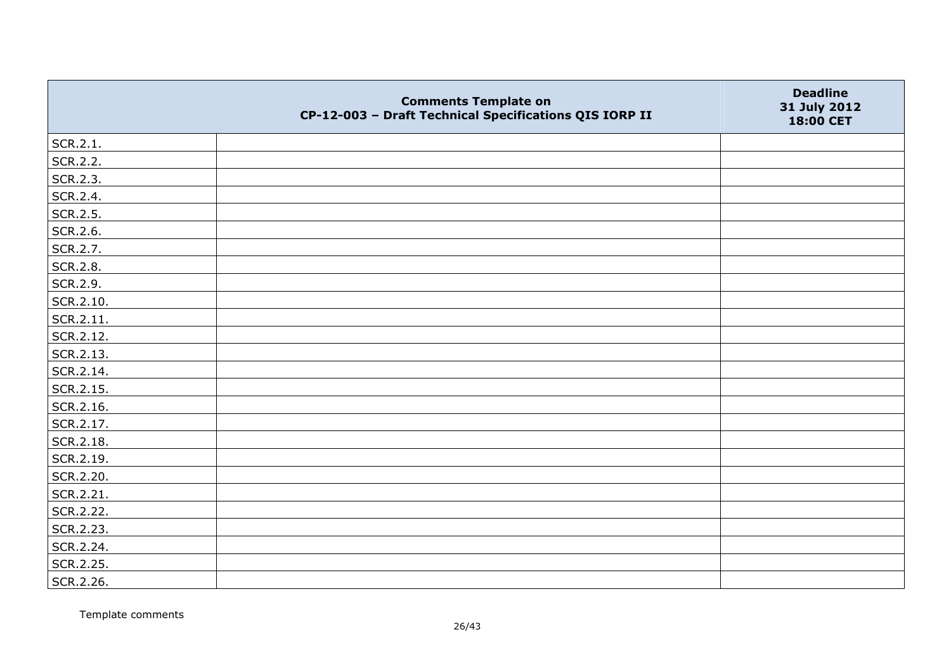|           | <b>Comments Template on</b><br>CP-12-003 - Draft Technical Specifications QIS IORP II | <b>Deadline</b><br>31 July 2012<br>18:00 CET |
|-----------|---------------------------------------------------------------------------------------|----------------------------------------------|
| SCR.2.1.  |                                                                                       |                                              |
| SCR.2.2.  |                                                                                       |                                              |
| SCR.2.3.  |                                                                                       |                                              |
| SCR.2.4.  |                                                                                       |                                              |
| SCR.2.5.  |                                                                                       |                                              |
| SCR.2.6.  |                                                                                       |                                              |
| SCR.2.7.  |                                                                                       |                                              |
| SCR.2.8.  |                                                                                       |                                              |
| SCR.2.9.  |                                                                                       |                                              |
| SCR.2.10. |                                                                                       |                                              |
| SCR.2.11. |                                                                                       |                                              |
| SCR.2.12. |                                                                                       |                                              |
| SCR.2.13. |                                                                                       |                                              |
| SCR.2.14. |                                                                                       |                                              |
| SCR.2.15. |                                                                                       |                                              |
| SCR.2.16. |                                                                                       |                                              |
| SCR.2.17. |                                                                                       |                                              |
| SCR.2.18. |                                                                                       |                                              |
| SCR.2.19. |                                                                                       |                                              |
| SCR.2.20. |                                                                                       |                                              |
| SCR.2.21. |                                                                                       |                                              |
| SCR.2.22. |                                                                                       |                                              |
| SCR.2.23. |                                                                                       |                                              |
| SCR.2.24. |                                                                                       |                                              |
| SCR.2.25. |                                                                                       |                                              |
| SCR.2.26. |                                                                                       |                                              |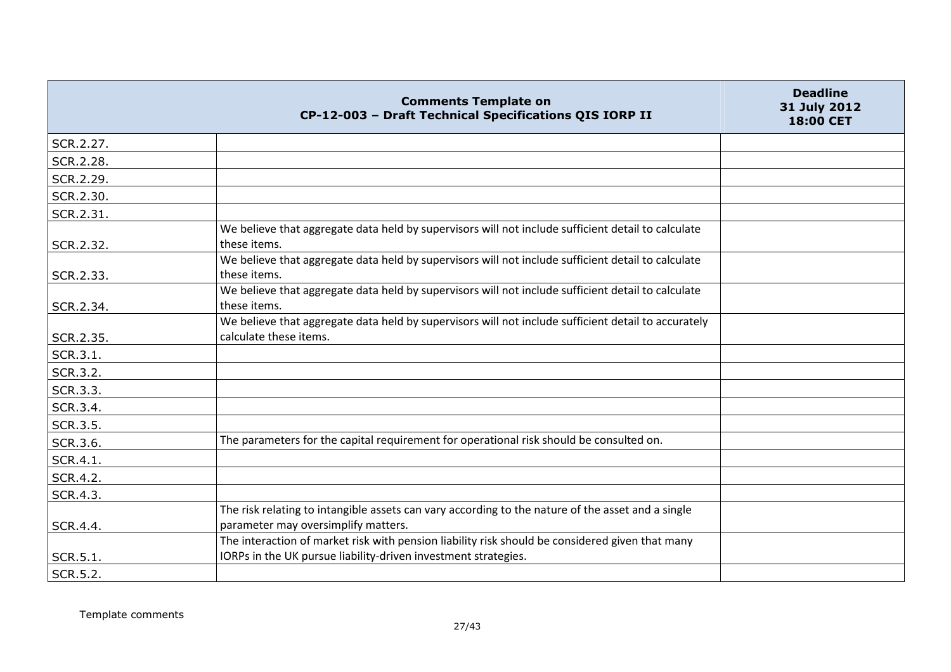|                 | <b>Comments Template on</b><br>CP-12-003 - Draft Technical Specifications QIS IORP II                                                                             | <b>Deadline</b><br>31 July 2012<br>18:00 CET |
|-----------------|-------------------------------------------------------------------------------------------------------------------------------------------------------------------|----------------------------------------------|
| SCR.2.27.       |                                                                                                                                                                   |                                              |
| SCR.2.28.       |                                                                                                                                                                   |                                              |
| SCR.2.29.       |                                                                                                                                                                   |                                              |
| SCR.2.30.       |                                                                                                                                                                   |                                              |
| SCR.2.31.       |                                                                                                                                                                   |                                              |
| SCR.2.32.       | We believe that aggregate data held by supervisors will not include sufficient detail to calculate<br>these items.                                                |                                              |
| SCR.2.33.       | We believe that aggregate data held by supervisors will not include sufficient detail to calculate<br>these items.                                                |                                              |
| SCR.2.34.       | We believe that aggregate data held by supervisors will not include sufficient detail to calculate<br>these items.                                                |                                              |
| SCR.2.35.       | We believe that aggregate data held by supervisors will not include sufficient detail to accurately<br>calculate these items.                                     |                                              |
| SCR.3.1.        |                                                                                                                                                                   |                                              |
| SCR.3.2.        |                                                                                                                                                                   |                                              |
| SCR.3.3.        |                                                                                                                                                                   |                                              |
| SCR.3.4.        |                                                                                                                                                                   |                                              |
| <b>SCR.3.5.</b> |                                                                                                                                                                   |                                              |
| SCR.3.6.        | The parameters for the capital requirement for operational risk should be consulted on.                                                                           |                                              |
| SCR.4.1.        |                                                                                                                                                                   |                                              |
| SCR.4.2.        |                                                                                                                                                                   |                                              |
| <b>SCR.4.3.</b> |                                                                                                                                                                   |                                              |
| SCR.4.4.        | The risk relating to intangible assets can vary according to the nature of the asset and a single<br>parameter may oversimplify matters.                          |                                              |
| SCR.5.1.        | The interaction of market risk with pension liability risk should be considered given that many<br>IORPs in the UK pursue liability-driven investment strategies. |                                              |
| SCR.5.2.        |                                                                                                                                                                   |                                              |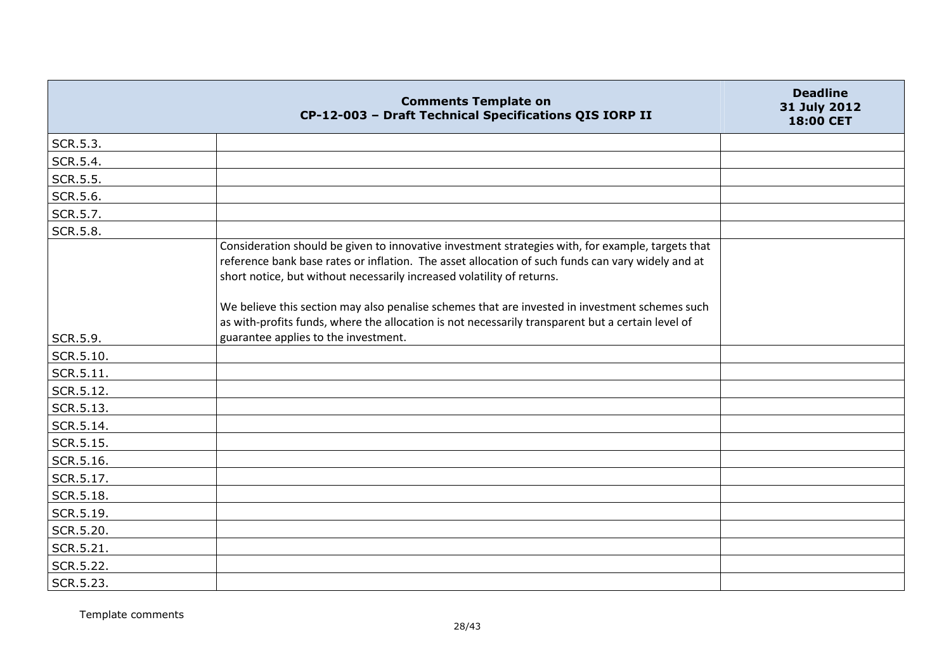|                 | <b>Comments Template on</b><br>CP-12-003 - Draft Technical Specifications QIS IORP II                                                                                                                                                                                                                                                                                                                                                                                                   | <b>Deadline</b><br>31 July 2012<br>18:00 CET |
|-----------------|-----------------------------------------------------------------------------------------------------------------------------------------------------------------------------------------------------------------------------------------------------------------------------------------------------------------------------------------------------------------------------------------------------------------------------------------------------------------------------------------|----------------------------------------------|
| SCR.5.3.        |                                                                                                                                                                                                                                                                                                                                                                                                                                                                                         |                                              |
| SCR.5.4.        |                                                                                                                                                                                                                                                                                                                                                                                                                                                                                         |                                              |
| SCR.5.5.        |                                                                                                                                                                                                                                                                                                                                                                                                                                                                                         |                                              |
| SCR.5.6.        |                                                                                                                                                                                                                                                                                                                                                                                                                                                                                         |                                              |
| SCR.5.7.        |                                                                                                                                                                                                                                                                                                                                                                                                                                                                                         |                                              |
| <b>SCR.5.8.</b> |                                                                                                                                                                                                                                                                                                                                                                                                                                                                                         |                                              |
|                 | Consideration should be given to innovative investment strategies with, for example, targets that<br>reference bank base rates or inflation. The asset allocation of such funds can vary widely and at<br>short notice, but without necessarily increased volatility of returns.<br>We believe this section may also penalise schemes that are invested in investment schemes such<br>as with-profits funds, where the allocation is not necessarily transparent but a certain level of |                                              |
| SCR.5.9.        | guarantee applies to the investment.                                                                                                                                                                                                                                                                                                                                                                                                                                                    |                                              |
| SCR.5.10.       |                                                                                                                                                                                                                                                                                                                                                                                                                                                                                         |                                              |
| SCR.5.11.       |                                                                                                                                                                                                                                                                                                                                                                                                                                                                                         |                                              |
| SCR.5.12.       |                                                                                                                                                                                                                                                                                                                                                                                                                                                                                         |                                              |
| SCR.5.13.       |                                                                                                                                                                                                                                                                                                                                                                                                                                                                                         |                                              |
| SCR.5.14.       |                                                                                                                                                                                                                                                                                                                                                                                                                                                                                         |                                              |
| SCR.5.15.       |                                                                                                                                                                                                                                                                                                                                                                                                                                                                                         |                                              |
| SCR.5.16.       |                                                                                                                                                                                                                                                                                                                                                                                                                                                                                         |                                              |
| SCR.5.17.       |                                                                                                                                                                                                                                                                                                                                                                                                                                                                                         |                                              |
| SCR.5.18.       |                                                                                                                                                                                                                                                                                                                                                                                                                                                                                         |                                              |
| SCR.5.19.       |                                                                                                                                                                                                                                                                                                                                                                                                                                                                                         |                                              |
| SCR.5.20.       |                                                                                                                                                                                                                                                                                                                                                                                                                                                                                         |                                              |
| SCR.5.21.       |                                                                                                                                                                                                                                                                                                                                                                                                                                                                                         |                                              |
| SCR.5.22.       |                                                                                                                                                                                                                                                                                                                                                                                                                                                                                         |                                              |
| SCR.5.23.       |                                                                                                                                                                                                                                                                                                                                                                                                                                                                                         |                                              |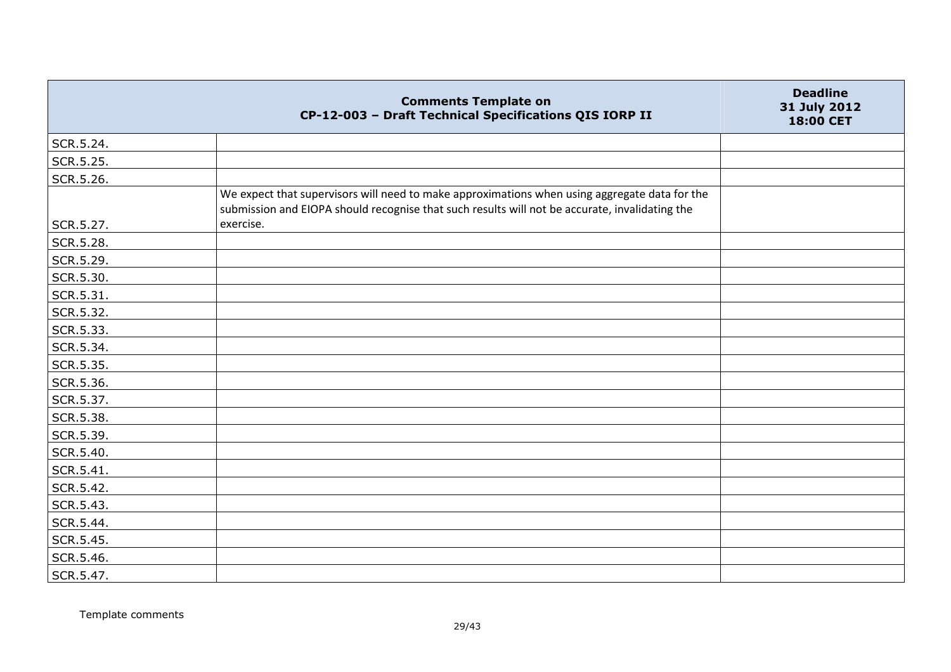|           | <b>Comments Template on</b><br>CP-12-003 - Draft Technical Specifications QIS IORP II                                                                                                           | <b>Deadline</b><br>31 July 2012<br>18:00 CET |
|-----------|-------------------------------------------------------------------------------------------------------------------------------------------------------------------------------------------------|----------------------------------------------|
| SCR.5.24. |                                                                                                                                                                                                 |                                              |
| SCR.5.25. |                                                                                                                                                                                                 |                                              |
| SCR.5.26. |                                                                                                                                                                                                 |                                              |
|           | We expect that supervisors will need to make approximations when using aggregate data for the<br>submission and EIOPA should recognise that such results will not be accurate, invalidating the |                                              |
| SCR.5.27. | exercise.                                                                                                                                                                                       |                                              |
| SCR.5.28. |                                                                                                                                                                                                 |                                              |
| SCR.5.29. |                                                                                                                                                                                                 |                                              |
| SCR.5.30. |                                                                                                                                                                                                 |                                              |
| SCR.5.31. |                                                                                                                                                                                                 |                                              |
| SCR.5.32. |                                                                                                                                                                                                 |                                              |
| SCR.5.33. |                                                                                                                                                                                                 |                                              |
| SCR.5.34. |                                                                                                                                                                                                 |                                              |
| SCR.5.35. |                                                                                                                                                                                                 |                                              |
| SCR.5.36. |                                                                                                                                                                                                 |                                              |
| SCR.5.37. |                                                                                                                                                                                                 |                                              |
| SCR.5.38. |                                                                                                                                                                                                 |                                              |
| SCR.5.39. |                                                                                                                                                                                                 |                                              |
| SCR.5.40. |                                                                                                                                                                                                 |                                              |
| SCR.5.41. |                                                                                                                                                                                                 |                                              |
| SCR.5.42. |                                                                                                                                                                                                 |                                              |
| SCR.5.43. |                                                                                                                                                                                                 |                                              |
| SCR.5.44. |                                                                                                                                                                                                 |                                              |
| SCR.5.45. |                                                                                                                                                                                                 |                                              |
| SCR.5.46. |                                                                                                                                                                                                 |                                              |
| SCR.5.47. |                                                                                                                                                                                                 |                                              |

Template comments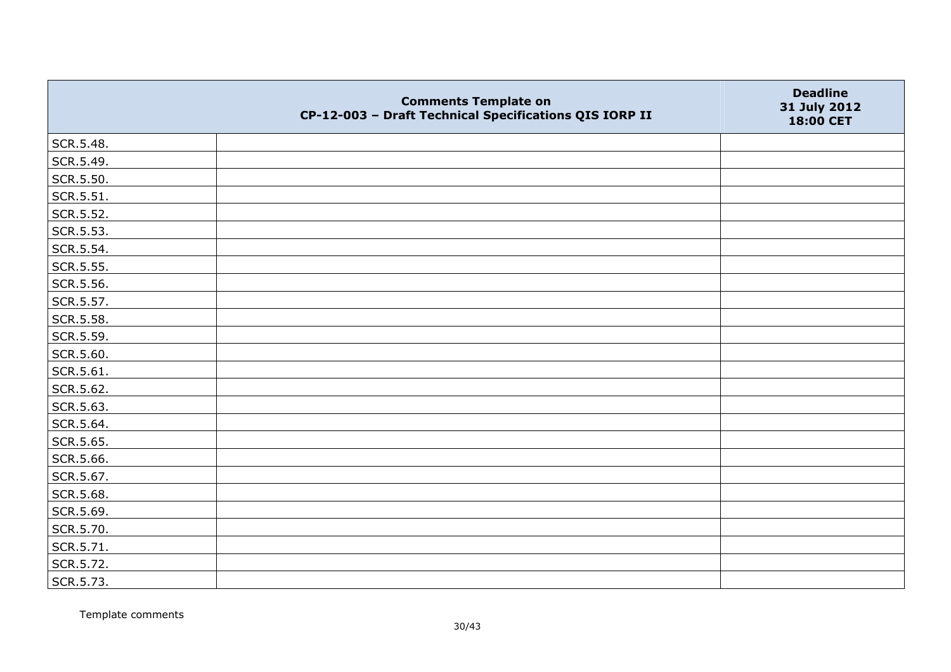|           | <b>Comments Template on</b><br>CP-12-003 - Draft Technical Specifications QIS IORP II | <b>Deadline</b><br>31 July 2012<br>18:00 CET |
|-----------|---------------------------------------------------------------------------------------|----------------------------------------------|
| SCR.5.48. |                                                                                       |                                              |
| SCR.5.49. |                                                                                       |                                              |
| SCR.5.50. |                                                                                       |                                              |
| SCR.5.51. |                                                                                       |                                              |
| SCR.5.52. |                                                                                       |                                              |
| SCR.5.53. |                                                                                       |                                              |
| SCR.5.54. |                                                                                       |                                              |
| SCR.5.55. |                                                                                       |                                              |
| SCR.5.56. |                                                                                       |                                              |
| SCR.5.57. |                                                                                       |                                              |
| SCR.5.58. |                                                                                       |                                              |
| SCR.5.59. |                                                                                       |                                              |
| SCR.5.60. |                                                                                       |                                              |
| SCR.5.61. |                                                                                       |                                              |
| SCR.5.62. |                                                                                       |                                              |
| SCR.5.63. |                                                                                       |                                              |
| SCR.5.64. |                                                                                       |                                              |
| SCR.5.65. |                                                                                       |                                              |
| SCR.5.66. |                                                                                       |                                              |
| SCR.5.67. |                                                                                       |                                              |
| SCR.5.68. |                                                                                       |                                              |
| SCR.5.69. |                                                                                       |                                              |
| SCR.5.70. |                                                                                       |                                              |
| SCR.5.71. |                                                                                       |                                              |
| SCR.5.72. |                                                                                       |                                              |
| SCR.5.73. |                                                                                       |                                              |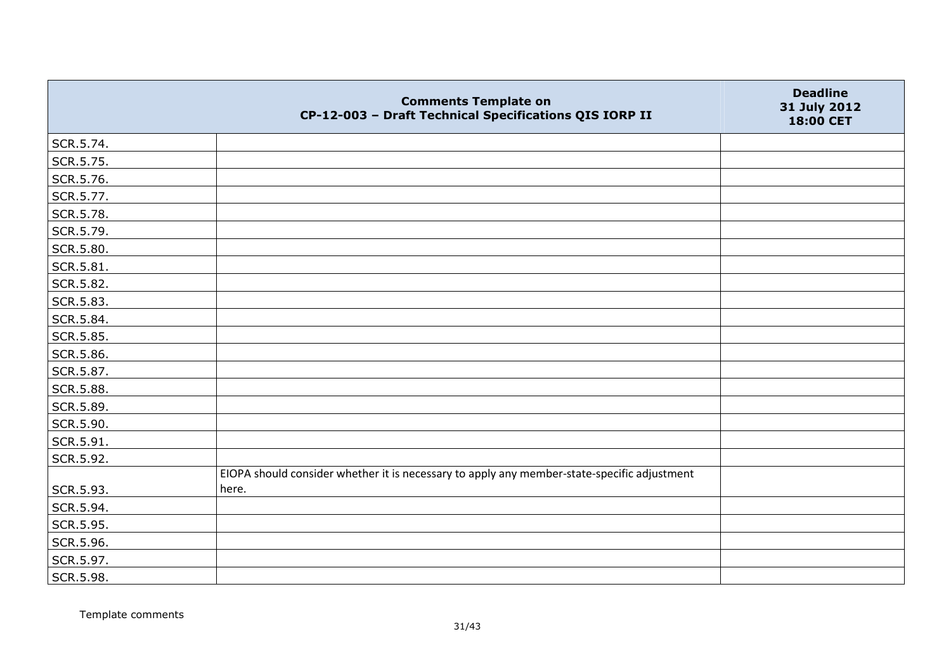|           | <b>Comments Template on</b><br>CP-12-003 - Draft Technical Specifications QIS IORP II       | <b>Deadline</b><br>31 July 2012<br>18:00 CET |
|-----------|---------------------------------------------------------------------------------------------|----------------------------------------------|
| SCR.5.74. |                                                                                             |                                              |
| SCR.5.75. |                                                                                             |                                              |
| SCR.5.76. |                                                                                             |                                              |
| SCR.5.77. |                                                                                             |                                              |
| SCR.5.78. |                                                                                             |                                              |
| SCR.5.79. |                                                                                             |                                              |
| SCR.5.80. |                                                                                             |                                              |
| SCR.5.81. |                                                                                             |                                              |
| SCR.5.82. |                                                                                             |                                              |
| SCR.5.83. |                                                                                             |                                              |
| SCR.5.84. |                                                                                             |                                              |
| SCR.5.85. |                                                                                             |                                              |
| SCR.5.86. |                                                                                             |                                              |
| SCR.5.87. |                                                                                             |                                              |
| SCR.5.88. |                                                                                             |                                              |
| SCR.5.89. |                                                                                             |                                              |
| SCR.5.90. |                                                                                             |                                              |
| SCR.5.91. |                                                                                             |                                              |
| SCR.5.92. |                                                                                             |                                              |
|           | EIOPA should consider whether it is necessary to apply any member-state-specific adjustment |                                              |
| SCR.5.93. | here.                                                                                       |                                              |
| SCR.5.94. |                                                                                             |                                              |
| SCR.5.95. |                                                                                             |                                              |
| SCR.5.96. |                                                                                             |                                              |
| SCR.5.97. |                                                                                             |                                              |
| SCR.5.98. |                                                                                             |                                              |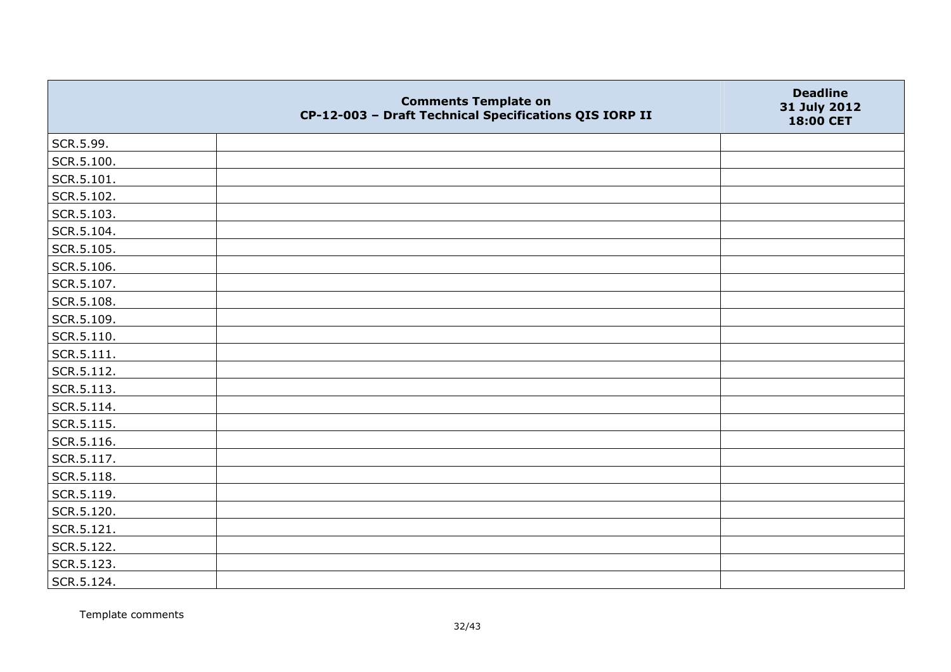|            | <b>Comments Template on</b><br>CP-12-003 - Draft Technical Specifications QIS IORP II | <b>Deadline</b><br>31 July 2012<br>18:00 CET |
|------------|---------------------------------------------------------------------------------------|----------------------------------------------|
| SCR.5.99.  |                                                                                       |                                              |
| SCR.5.100. |                                                                                       |                                              |
| SCR.5.101. |                                                                                       |                                              |
| SCR.5.102. |                                                                                       |                                              |
| SCR.5.103. |                                                                                       |                                              |
| SCR.5.104. |                                                                                       |                                              |
| SCR.5.105. |                                                                                       |                                              |
| SCR.5.106. |                                                                                       |                                              |
| SCR.5.107. |                                                                                       |                                              |
| SCR.5.108. |                                                                                       |                                              |
| SCR.5.109. |                                                                                       |                                              |
| SCR.5.110. |                                                                                       |                                              |
| SCR.5.111. |                                                                                       |                                              |
| SCR.5.112. |                                                                                       |                                              |
| SCR.5.113. |                                                                                       |                                              |
| SCR.5.114. |                                                                                       |                                              |
| SCR.5.115. |                                                                                       |                                              |
| SCR.5.116. |                                                                                       |                                              |
| SCR.5.117. |                                                                                       |                                              |
| SCR.5.118. |                                                                                       |                                              |
| SCR.5.119. |                                                                                       |                                              |
| SCR.5.120. |                                                                                       |                                              |
| SCR.5.121. |                                                                                       |                                              |
| SCR.5.122. |                                                                                       |                                              |
| SCR.5.123. |                                                                                       |                                              |
| SCR.5.124. |                                                                                       |                                              |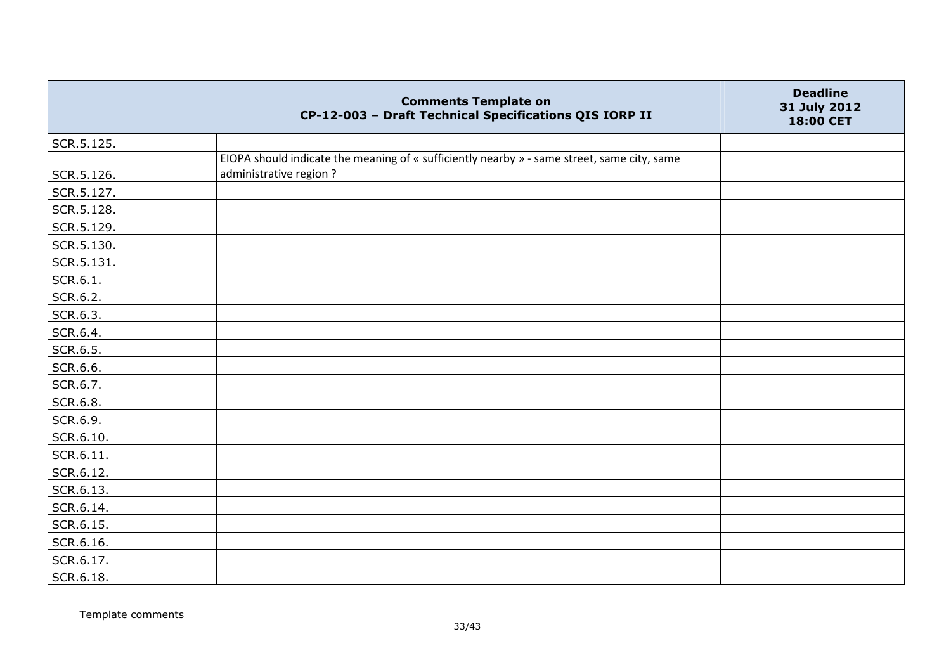|            | <b>Comments Template on</b><br>CP-12-003 - Draft Technical Specifications QIS IORP II                                 | <b>Deadline</b><br>31 July 2012<br>18:00 CET |
|------------|-----------------------------------------------------------------------------------------------------------------------|----------------------------------------------|
| SCR.5.125. |                                                                                                                       |                                              |
| SCR.5.126. | EIOPA should indicate the meaning of « sufficiently nearby » - same street, same city, same<br>administrative region? |                                              |
| SCR.5.127. |                                                                                                                       |                                              |
| SCR.5.128. |                                                                                                                       |                                              |
| SCR.5.129. |                                                                                                                       |                                              |
| SCR.5.130. |                                                                                                                       |                                              |
| SCR.5.131. |                                                                                                                       |                                              |
| SCR.6.1.   |                                                                                                                       |                                              |
| SCR.6.2.   |                                                                                                                       |                                              |
| SCR.6.3.   |                                                                                                                       |                                              |
| SCR.6.4.   |                                                                                                                       |                                              |
| SCR.6.5.   |                                                                                                                       |                                              |
| SCR.6.6.   |                                                                                                                       |                                              |
| SCR.6.7.   |                                                                                                                       |                                              |
| SCR.6.8.   |                                                                                                                       |                                              |
| SCR.6.9.   |                                                                                                                       |                                              |
| SCR.6.10.  |                                                                                                                       |                                              |
| SCR.6.11.  |                                                                                                                       |                                              |
| SCR.6.12.  |                                                                                                                       |                                              |
| SCR.6.13.  |                                                                                                                       |                                              |
| SCR.6.14.  |                                                                                                                       |                                              |
| SCR.6.15.  |                                                                                                                       |                                              |
| SCR.6.16.  |                                                                                                                       |                                              |
| SCR.6.17.  |                                                                                                                       |                                              |
| SCR.6.18.  |                                                                                                                       |                                              |

Template comments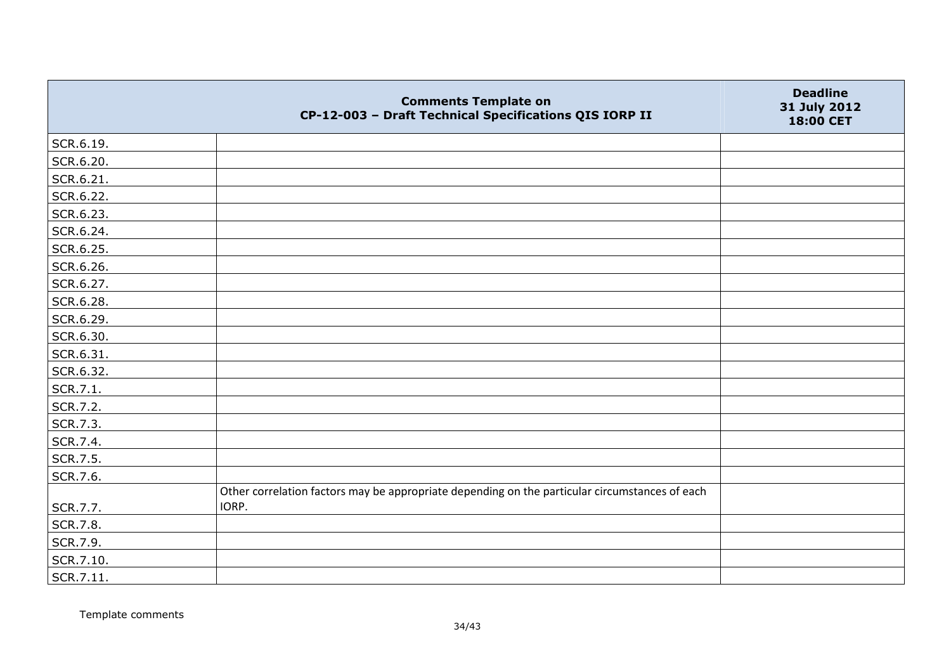|           | <b>Comments Template on</b><br>CP-12-003 - Draft Technical Specifications QIS IORP II          | <b>Deadline</b><br>31 July 2012<br>18:00 CET |
|-----------|------------------------------------------------------------------------------------------------|----------------------------------------------|
| SCR.6.19. |                                                                                                |                                              |
| SCR.6.20. |                                                                                                |                                              |
| SCR.6.21. |                                                                                                |                                              |
| SCR.6.22. |                                                                                                |                                              |
| SCR.6.23. |                                                                                                |                                              |
| SCR.6.24. |                                                                                                |                                              |
| SCR.6.25. |                                                                                                |                                              |
| SCR.6.26. |                                                                                                |                                              |
| SCR.6.27. |                                                                                                |                                              |
| SCR.6.28. |                                                                                                |                                              |
| SCR.6.29. |                                                                                                |                                              |
| SCR.6.30. |                                                                                                |                                              |
| SCR.6.31. |                                                                                                |                                              |
| SCR.6.32. |                                                                                                |                                              |
| SCR.7.1.  |                                                                                                |                                              |
| SCR.7.2.  |                                                                                                |                                              |
| SCR.7.3.  |                                                                                                |                                              |
| SCR.7.4.  |                                                                                                |                                              |
| SCR.7.5.  |                                                                                                |                                              |
| SCR.7.6.  |                                                                                                |                                              |
|           | Other correlation factors may be appropriate depending on the particular circumstances of each |                                              |
| SCR.7.7.  | IORP.                                                                                          |                                              |
| SCR.7.8.  |                                                                                                |                                              |
| SCR.7.9.  |                                                                                                |                                              |
| SCR.7.10. |                                                                                                |                                              |
| SCR.7.11. |                                                                                                |                                              |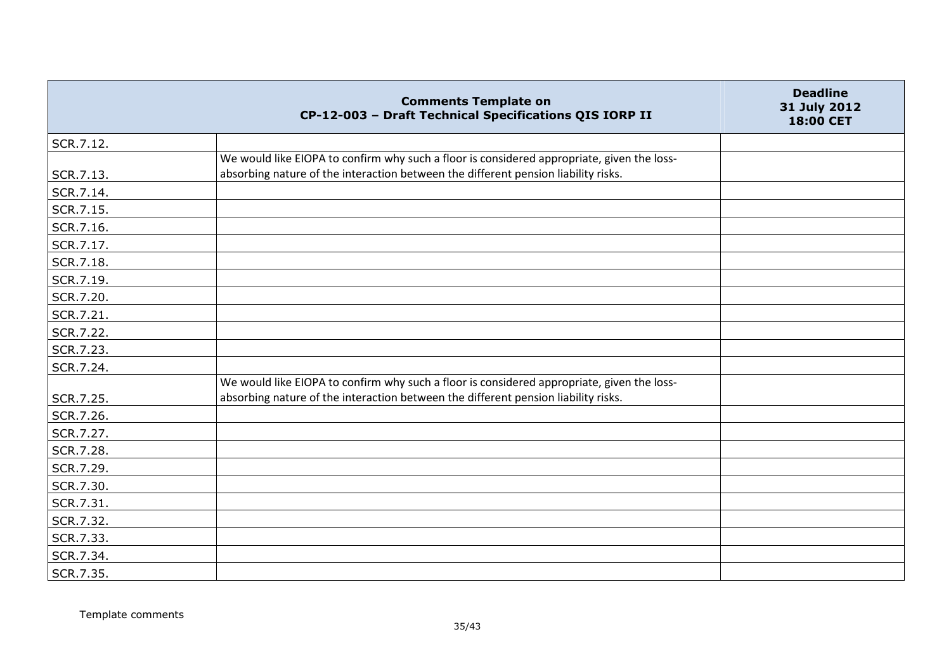|           | <b>Comments Template on</b><br>CP-12-003 - Draft Technical Specifications QIS IORP II                                                                                            | <b>Deadline</b><br>31 July 2012<br>18:00 CET |
|-----------|----------------------------------------------------------------------------------------------------------------------------------------------------------------------------------|----------------------------------------------|
| SCR.7.12. |                                                                                                                                                                                  |                                              |
| SCR.7.13. | We would like EIOPA to confirm why such a floor is considered appropriate, given the loss-<br>absorbing nature of the interaction between the different pension liability risks. |                                              |
| SCR.7.14. |                                                                                                                                                                                  |                                              |
| SCR.7.15. |                                                                                                                                                                                  |                                              |
| SCR.7.16. |                                                                                                                                                                                  |                                              |
| SCR.7.17. |                                                                                                                                                                                  |                                              |
| SCR.7.18. |                                                                                                                                                                                  |                                              |
| SCR.7.19. |                                                                                                                                                                                  |                                              |
| SCR.7.20. |                                                                                                                                                                                  |                                              |
| SCR.7.21. |                                                                                                                                                                                  |                                              |
| SCR.7.22. |                                                                                                                                                                                  |                                              |
| SCR.7.23. |                                                                                                                                                                                  |                                              |
| SCR.7.24. |                                                                                                                                                                                  |                                              |
| SCR.7.25. | We would like EIOPA to confirm why such a floor is considered appropriate, given the loss-<br>absorbing nature of the interaction between the different pension liability risks. |                                              |
| SCR.7.26. |                                                                                                                                                                                  |                                              |
| SCR.7.27. |                                                                                                                                                                                  |                                              |
| SCR.7.28. |                                                                                                                                                                                  |                                              |
| SCR.7.29. |                                                                                                                                                                                  |                                              |
| SCR.7.30. |                                                                                                                                                                                  |                                              |
| SCR.7.31. |                                                                                                                                                                                  |                                              |
| SCR.7.32. |                                                                                                                                                                                  |                                              |
| SCR.7.33. |                                                                                                                                                                                  |                                              |
| SCR.7.34. |                                                                                                                                                                                  |                                              |
| SCR.7.35. |                                                                                                                                                                                  |                                              |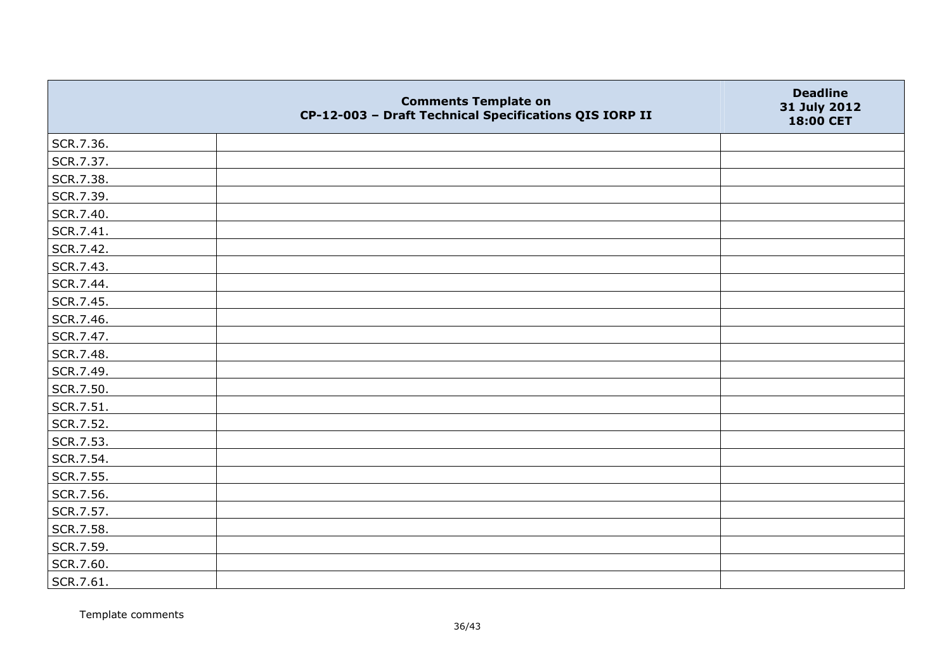|           | <b>Comments Template on</b><br>CP-12-003 - Draft Technical Specifications QIS IORP II | <b>Deadline</b><br>31 July 2012<br>18:00 CET |
|-----------|---------------------------------------------------------------------------------------|----------------------------------------------|
| SCR.7.36. |                                                                                       |                                              |
| SCR.7.37. |                                                                                       |                                              |
| SCR.7.38. |                                                                                       |                                              |
| SCR.7.39. |                                                                                       |                                              |
| SCR.7.40. |                                                                                       |                                              |
| SCR.7.41. |                                                                                       |                                              |
| SCR.7.42. |                                                                                       |                                              |
| SCR.7.43. |                                                                                       |                                              |
| SCR.7.44. |                                                                                       |                                              |
| SCR.7.45. |                                                                                       |                                              |
| SCR.7.46. |                                                                                       |                                              |
| SCR.7.47. |                                                                                       |                                              |
| SCR.7.48. |                                                                                       |                                              |
| SCR.7.49. |                                                                                       |                                              |
| SCR.7.50. |                                                                                       |                                              |
| SCR.7.51. |                                                                                       |                                              |
| SCR.7.52. |                                                                                       |                                              |
| SCR.7.53. |                                                                                       |                                              |
| SCR.7.54. |                                                                                       |                                              |
| SCR.7.55. |                                                                                       |                                              |
| SCR.7.56. |                                                                                       |                                              |
| SCR.7.57. |                                                                                       |                                              |
| SCR.7.58. |                                                                                       |                                              |
| SCR.7.59. |                                                                                       |                                              |
| SCR.7.60. |                                                                                       |                                              |
| SCR.7.61. |                                                                                       |                                              |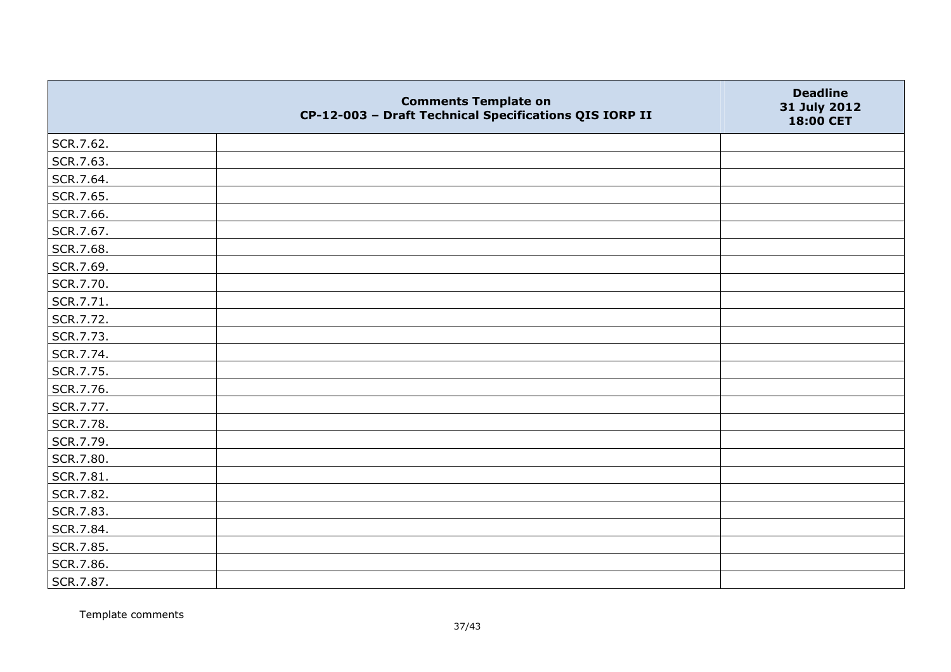|           | <b>Comments Template on</b><br>CP-12-003 - Draft Technical Specifications QIS IORP II | <b>Deadline</b><br>31 July 2012<br>18:00 CET |
|-----------|---------------------------------------------------------------------------------------|----------------------------------------------|
| SCR.7.62. |                                                                                       |                                              |
| SCR.7.63. |                                                                                       |                                              |
| SCR.7.64. |                                                                                       |                                              |
| SCR.7.65. |                                                                                       |                                              |
| SCR.7.66. |                                                                                       |                                              |
| SCR.7.67. |                                                                                       |                                              |
| SCR.7.68. |                                                                                       |                                              |
| SCR.7.69. |                                                                                       |                                              |
| SCR.7.70. |                                                                                       |                                              |
| SCR.7.71. |                                                                                       |                                              |
| SCR.7.72. |                                                                                       |                                              |
| SCR.7.73. |                                                                                       |                                              |
| SCR.7.74. |                                                                                       |                                              |
| SCR.7.75. |                                                                                       |                                              |
| SCR.7.76. |                                                                                       |                                              |
| SCR.7.77. |                                                                                       |                                              |
| SCR.7.78. |                                                                                       |                                              |
| SCR.7.79. |                                                                                       |                                              |
| SCR.7.80. |                                                                                       |                                              |
| SCR.7.81. |                                                                                       |                                              |
| SCR.7.82. |                                                                                       |                                              |
| SCR.7.83. |                                                                                       |                                              |
| SCR.7.84. |                                                                                       |                                              |
| SCR.7.85. |                                                                                       |                                              |
| SCR.7.86. |                                                                                       |                                              |
| SCR.7.87. |                                                                                       |                                              |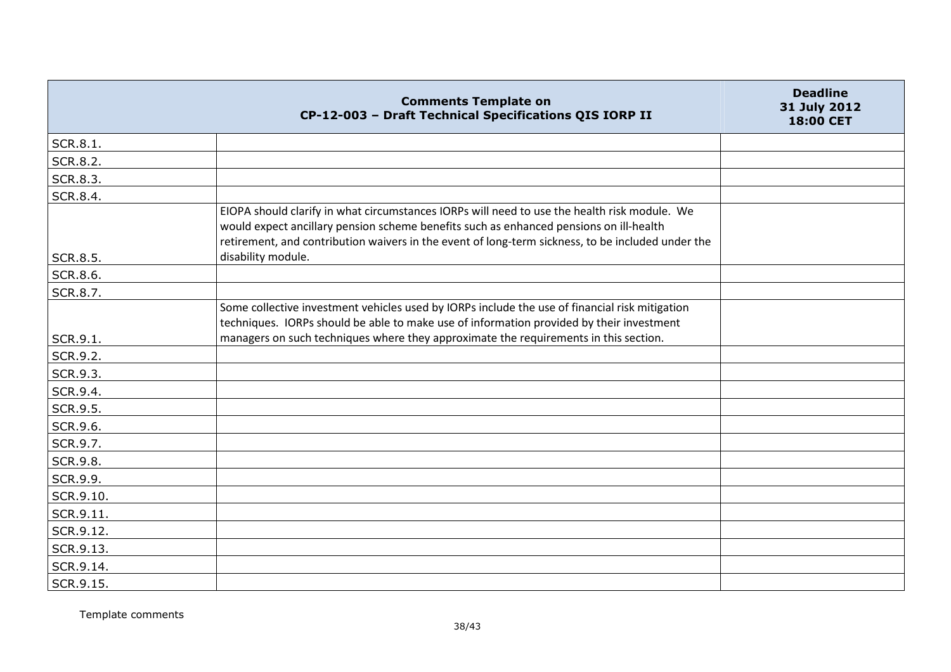|                 | <b>Comments Template on</b><br>CP-12-003 - Draft Technical Specifications QIS IORP II                                                                                                                                                                                                                             | <b>Deadline</b><br>31 July 2012<br>18:00 CET |
|-----------------|-------------------------------------------------------------------------------------------------------------------------------------------------------------------------------------------------------------------------------------------------------------------------------------------------------------------|----------------------------------------------|
| SCR.8.1.        |                                                                                                                                                                                                                                                                                                                   |                                              |
| <b>SCR.8.2.</b> |                                                                                                                                                                                                                                                                                                                   |                                              |
| SCR.8.3.        |                                                                                                                                                                                                                                                                                                                   |                                              |
| SCR.8.4.        |                                                                                                                                                                                                                                                                                                                   |                                              |
| <b>SCR.8.5.</b> | EIOPA should clarify in what circumstances IORPs will need to use the health risk module. We<br>would expect ancillary pension scheme benefits such as enhanced pensions on ill-health<br>retirement, and contribution waivers in the event of long-term sickness, to be included under the<br>disability module. |                                              |
| SCR.8.6.        |                                                                                                                                                                                                                                                                                                                   |                                              |
| SCR.8.7.        |                                                                                                                                                                                                                                                                                                                   |                                              |
|                 | Some collective investment vehicles used by IORPs include the use of financial risk mitigation<br>techniques. IORPs should be able to make use of information provided by their investment                                                                                                                        |                                              |
| SCR.9.1.        | managers on such techniques where they approximate the requirements in this section.                                                                                                                                                                                                                              |                                              |
| SCR.9.2.        |                                                                                                                                                                                                                                                                                                                   |                                              |
| SCR.9.3.        |                                                                                                                                                                                                                                                                                                                   |                                              |
| SCR.9.4.        |                                                                                                                                                                                                                                                                                                                   |                                              |
| SCR.9.5.        |                                                                                                                                                                                                                                                                                                                   |                                              |
| SCR.9.6.        |                                                                                                                                                                                                                                                                                                                   |                                              |
| SCR.9.7.        |                                                                                                                                                                                                                                                                                                                   |                                              |
| SCR.9.8.        |                                                                                                                                                                                                                                                                                                                   |                                              |
| SCR.9.9.        |                                                                                                                                                                                                                                                                                                                   |                                              |
| SCR.9.10.       |                                                                                                                                                                                                                                                                                                                   |                                              |
| SCR.9.11.       |                                                                                                                                                                                                                                                                                                                   |                                              |
| SCR.9.12.       |                                                                                                                                                                                                                                                                                                                   |                                              |
| SCR.9.13.       |                                                                                                                                                                                                                                                                                                                   |                                              |
| SCR.9.14.       |                                                                                                                                                                                                                                                                                                                   |                                              |
| SCR.9.15.       |                                                                                                                                                                                                                                                                                                                   |                                              |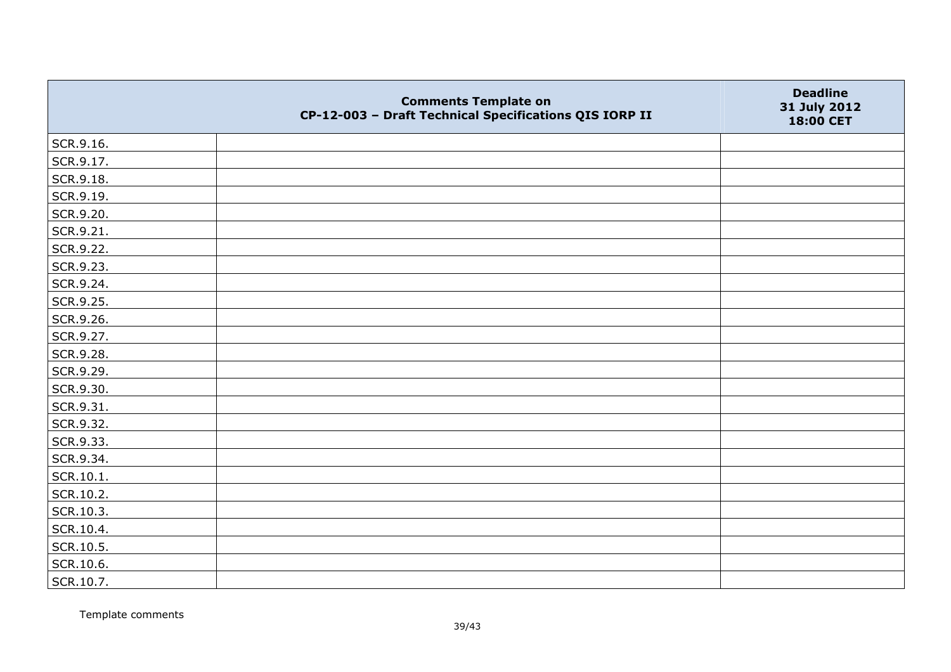|           | <b>Comments Template on</b><br>CP-12-003 - Draft Technical Specifications QIS IORP II | <b>Deadline</b><br>31 July 2012<br>18:00 CET |
|-----------|---------------------------------------------------------------------------------------|----------------------------------------------|
| SCR.9.16. |                                                                                       |                                              |
| SCR.9.17. |                                                                                       |                                              |
| SCR.9.18. |                                                                                       |                                              |
| SCR.9.19. |                                                                                       |                                              |
| SCR.9.20. |                                                                                       |                                              |
| SCR.9.21. |                                                                                       |                                              |
| SCR.9.22. |                                                                                       |                                              |
| SCR.9.23. |                                                                                       |                                              |
| SCR.9.24. |                                                                                       |                                              |
| SCR.9.25. |                                                                                       |                                              |
| SCR.9.26. |                                                                                       |                                              |
| SCR.9.27. |                                                                                       |                                              |
| SCR.9.28. |                                                                                       |                                              |
| SCR.9.29. |                                                                                       |                                              |
| SCR.9.30. |                                                                                       |                                              |
| SCR.9.31. |                                                                                       |                                              |
| SCR.9.32. |                                                                                       |                                              |
| SCR.9.33. |                                                                                       |                                              |
| SCR.9.34. |                                                                                       |                                              |
| SCR.10.1. |                                                                                       |                                              |
| SCR.10.2. |                                                                                       |                                              |
| SCR.10.3. |                                                                                       |                                              |
| SCR.10.4. |                                                                                       |                                              |
| SCR.10.5. |                                                                                       |                                              |
| SCR.10.6. |                                                                                       |                                              |
| SCR.10.7. |                                                                                       |                                              |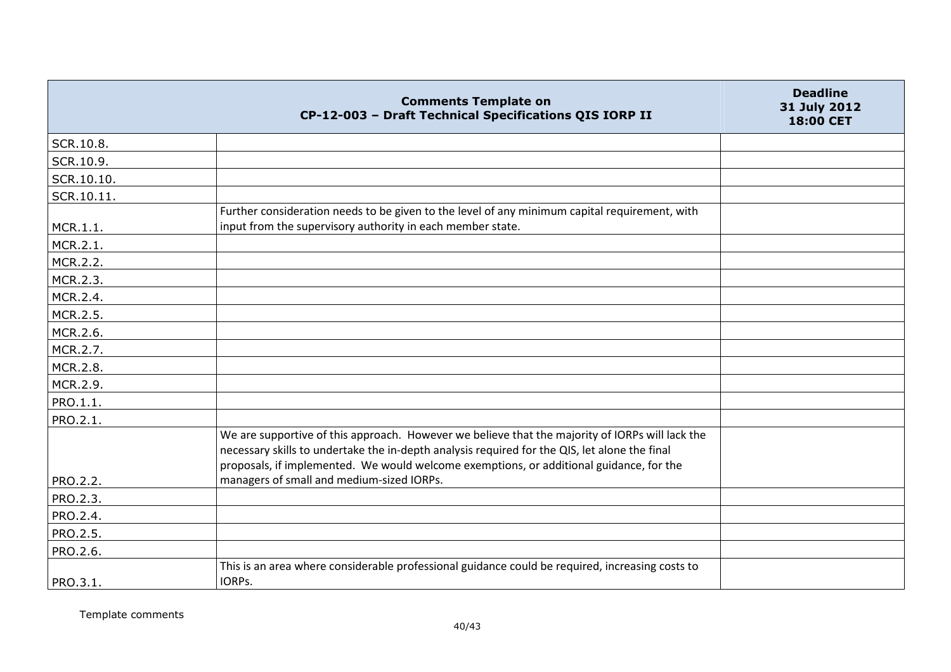|            | <b>Comments Template on</b><br>CP-12-003 - Draft Technical Specifications QIS IORP II                                                                                                                                                                                                       | <b>Deadline</b><br>31 July 2012<br>18:00 CET |
|------------|---------------------------------------------------------------------------------------------------------------------------------------------------------------------------------------------------------------------------------------------------------------------------------------------|----------------------------------------------|
| SCR.10.8.  |                                                                                                                                                                                                                                                                                             |                                              |
| SCR.10.9.  |                                                                                                                                                                                                                                                                                             |                                              |
| SCR.10.10. |                                                                                                                                                                                                                                                                                             |                                              |
| SCR.10.11. |                                                                                                                                                                                                                                                                                             |                                              |
| MCR.1.1.   | Further consideration needs to be given to the level of any minimum capital requirement, with<br>input from the supervisory authority in each member state.                                                                                                                                 |                                              |
| MCR.2.1.   |                                                                                                                                                                                                                                                                                             |                                              |
| MCR.2.2.   |                                                                                                                                                                                                                                                                                             |                                              |
| MCR.2.3.   |                                                                                                                                                                                                                                                                                             |                                              |
| MCR.2.4.   |                                                                                                                                                                                                                                                                                             |                                              |
| MCR.2.5.   |                                                                                                                                                                                                                                                                                             |                                              |
| MCR.2.6.   |                                                                                                                                                                                                                                                                                             |                                              |
| MCR.2.7.   |                                                                                                                                                                                                                                                                                             |                                              |
| MCR.2.8.   |                                                                                                                                                                                                                                                                                             |                                              |
| MCR.2.9.   |                                                                                                                                                                                                                                                                                             |                                              |
| PRO.1.1.   |                                                                                                                                                                                                                                                                                             |                                              |
| PRO.2.1.   |                                                                                                                                                                                                                                                                                             |                                              |
|            | We are supportive of this approach. However we believe that the majority of IORPs will lack the<br>necessary skills to undertake the in-depth analysis required for the QIS, let alone the final<br>proposals, if implemented. We would welcome exemptions, or additional guidance, for the |                                              |
| PRO.2.2.   | managers of small and medium-sized IORPs.                                                                                                                                                                                                                                                   |                                              |
| PRO.2.3.   |                                                                                                                                                                                                                                                                                             |                                              |
| PRO.2.4.   |                                                                                                                                                                                                                                                                                             |                                              |
| PRO.2.5.   |                                                                                                                                                                                                                                                                                             |                                              |
| PRO.2.6.   |                                                                                                                                                                                                                                                                                             |                                              |
| PRO.3.1.   | This is an area where considerable professional guidance could be required, increasing costs to<br>IORPs.                                                                                                                                                                                   |                                              |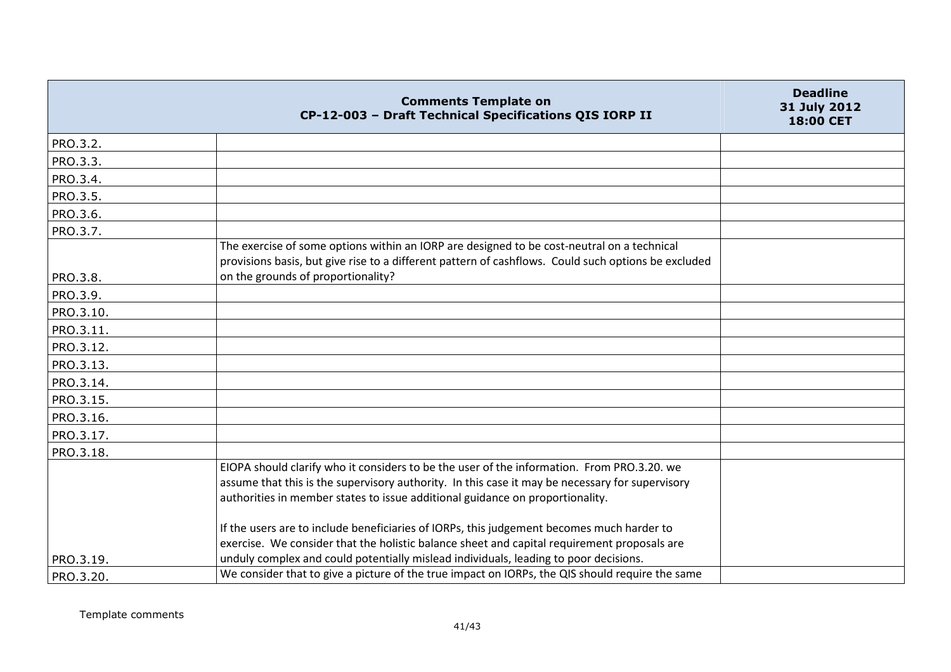|                        | <b>Comments Template on</b><br>CP-12-003 - Draft Technical Specifications QIS IORP II                                                                                                                                                                                                                                                                                                                                                                                                                                                                              | <b>Deadline</b><br>31 July 2012<br>18:00 CET |
|------------------------|--------------------------------------------------------------------------------------------------------------------------------------------------------------------------------------------------------------------------------------------------------------------------------------------------------------------------------------------------------------------------------------------------------------------------------------------------------------------------------------------------------------------------------------------------------------------|----------------------------------------------|
| PRO.3.2.               |                                                                                                                                                                                                                                                                                                                                                                                                                                                                                                                                                                    |                                              |
| PRO.3.3.               |                                                                                                                                                                                                                                                                                                                                                                                                                                                                                                                                                                    |                                              |
| PRO.3.4.               |                                                                                                                                                                                                                                                                                                                                                                                                                                                                                                                                                                    |                                              |
| PRO.3.5.               |                                                                                                                                                                                                                                                                                                                                                                                                                                                                                                                                                                    |                                              |
| PRO.3.6.               |                                                                                                                                                                                                                                                                                                                                                                                                                                                                                                                                                                    |                                              |
| PRO.3.7.               |                                                                                                                                                                                                                                                                                                                                                                                                                                                                                                                                                                    |                                              |
|                        | The exercise of some options within an IORP are designed to be cost-neutral on a technical<br>provisions basis, but give rise to a different pattern of cashflows. Could such options be excluded<br>on the grounds of proportionality?                                                                                                                                                                                                                                                                                                                            |                                              |
| PRO.3.8.               |                                                                                                                                                                                                                                                                                                                                                                                                                                                                                                                                                                    |                                              |
| PRO.3.9.               |                                                                                                                                                                                                                                                                                                                                                                                                                                                                                                                                                                    |                                              |
| PRO.3.10.              |                                                                                                                                                                                                                                                                                                                                                                                                                                                                                                                                                                    |                                              |
| PRO.3.11.              |                                                                                                                                                                                                                                                                                                                                                                                                                                                                                                                                                                    |                                              |
| PRO.3.12.              |                                                                                                                                                                                                                                                                                                                                                                                                                                                                                                                                                                    |                                              |
| PRO.3.13.              |                                                                                                                                                                                                                                                                                                                                                                                                                                                                                                                                                                    |                                              |
| PRO.3.14.              |                                                                                                                                                                                                                                                                                                                                                                                                                                                                                                                                                                    |                                              |
| PRO.3.15.              |                                                                                                                                                                                                                                                                                                                                                                                                                                                                                                                                                                    |                                              |
| PRO.3.16.              |                                                                                                                                                                                                                                                                                                                                                                                                                                                                                                                                                                    |                                              |
| PRO.3.17.              |                                                                                                                                                                                                                                                                                                                                                                                                                                                                                                                                                                    |                                              |
| PRO.3.18.<br>PRO.3.19. | EIOPA should clarify who it considers to be the user of the information. From PRO.3.20. we<br>assume that this is the supervisory authority. In this case it may be necessary for supervisory<br>authorities in member states to issue additional guidance on proportionality.<br>If the users are to include beneficiaries of IORPs, this judgement becomes much harder to<br>exercise. We consider that the holistic balance sheet and capital requirement proposals are<br>unduly complex and could potentially mislead individuals, leading to poor decisions. |                                              |
| PRO.3.20.              | We consider that to give a picture of the true impact on IORPs, the QIS should require the same                                                                                                                                                                                                                                                                                                                                                                                                                                                                    |                                              |